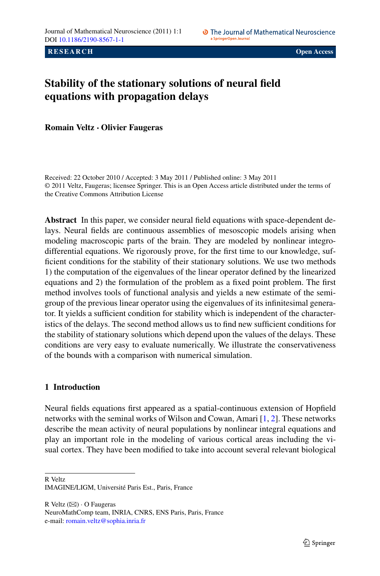**RESEARCH CONSUMING A RESEARCH CONSUMING A RESEARCH CONSUMING A RESEARCH** 

# **Stability of the stationary solutions of neural field equations with propagation delays**

**Romain Veltz · Olivier Faugeras**

Received: 22 October 2010 / Accepted: 3 May 2011 / Published online: 3 May 2011 © 2011 Veltz, Faugeras; licensee Springer. This is an Open Access article distributed under the terms of the Creative Commons Attribution License

**Abstract** In this paper, we consider neural field equations with space-dependent delays. Neural fields are continuous assemblies of mesoscopic models arising when modeling macroscopic parts of the brain. They are modeled by nonlinear integrodifferential equations. We rigorously prove, for the first time to our knowledge, sufficient conditions for the stability of their stationary solutions. We use two methods 1) the computation of the eigenvalues of the linear operator defined by the linearized equations and 2) the formulation of the problem as a fixed point problem. The first method involves tools of functional analysis and yields a new estimate of the semigroup of the previous linear operator using the eigenvalues of its infinitesimal generator. It yields a sufficient condition for stability which is independent of the characteristics of the delays. The second method allows us to find new sufficient conditions for the stability of stationary solutions which depend upon the values of the delays. These conditions are very easy to evaluate numerically. We illustrate the conservativeness of the bounds with a comparison with numerical simulation.

# **1 Introduction**

Neural fields equations first appeared as a spatial-continuous extension of Hopfield networks with the seminal works of Wilson and Cowan, Amari [[1,](#page-26-0) [2](#page-26-1)]. These networks describe the mean activity of neural populations by nonlinear integral equations and play an important role in the modeling of various cortical areas including the visual cortex. They have been modified to take into account several relevant biological

R Veltz

IMAGINE/LIGM, Université Paris Est., Paris, France

 $R$  Veltz ( $\boxtimes$ )  $\cdot$  O Faugeras

NeuroMathComp team, INRIA, CNRS, ENS Paris, Paris, France e-mail: [romain.veltz@sophia.inria.fr](mailto:romain.veltz@sophia.inria.fr)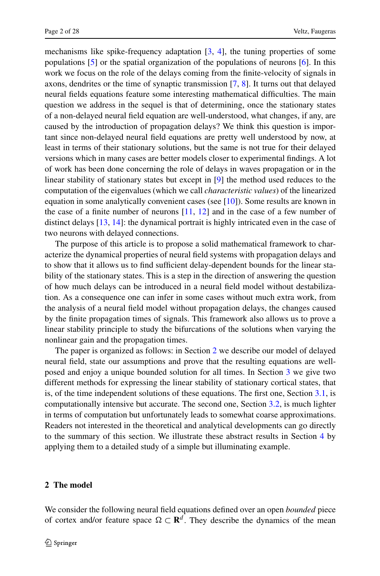mechanisms like spike-frequency adaptation [\[3](#page-26-2), [4\]](#page-26-3), the tuning properties of some populations [[5\]](#page-26-4) or the spatial organization of the populations of neurons [\[6](#page-26-5)]. In this work we focus on the role of the delays coming from the finite-velocity of signals in axons, dendrites or the time of synaptic transmission [\[7](#page-26-6), [8](#page-26-7)]. It turns out that delayed neural fields equations feature some interesting mathematical difficulties. The main question we address in the sequel is that of determining, once the stationary states of a non-delayed neural field equation are well-understood, what changes, if any, are caused by the introduction of propagation delays? We think this question is important since non-delayed neural field equations are pretty well understood by now, at least in terms of their stationary solutions, but the same is not true for their delayed versions which in many cases are better models closer to experimental findings. A lot of work has been done concerning the role of delays in waves propagation or in the linear stability of stationary states but except in [[9\]](#page-26-8) the method used reduces to the computation of the eigenvalues (which we call *characteristic values*) of the linearized equation in some analytically convenient cases (see [[10\]](#page-26-9)). Some results are known in the case of a finite number of neurons  $[11, 12]$  $[11, 12]$  $[11, 12]$  and in the case of a few number of distinct delays [[13,](#page-26-12) [14\]](#page-26-13): the dynamical portrait is highly intricated even in the case of two neurons with delayed connections.

The purpose of this article is to propose a solid mathematical framework to characterize the dynamical properties of neural field systems with propagation delays and to show that it allows us to find sufficient delay-dependent bounds for the linear stability of the stationary states. This is a step in the direction of answering the question of how much delays can be introduced in a neural field model without destabilization. As a consequence one can infer in some cases without much extra work, from the analysis of a neural field model without propagation delays, the changes caused by the finite propagation times of signals. This framework also allows us to prove a linear stability principle to study the bifurcations of the solutions when varying the nonlinear gain and the propagation times.

The paper is organized as follows: in Section [2](#page-1-0) we describe our model of delayed neural field, state our assumptions and prove that the resulting equations are wellposed and enjoy a unique bounded solution for all times. In Section [3](#page-5-0) we give two different methods for expressing the linear stability of stationary cortical states, that is, of the time independent solutions of these equations. The first one, Section [3.1,](#page-6-0) is computationally intensive but accurate. The second one, Section [3.2](#page-12-0), is much lighter in terms of computation but unfortunately leads to somewhat coarse approximations. Readers not interested in the theoretical and analytical developments can go directly to the summary of this section. We illustrate these abstract results in Section [4](#page-18-0) by applying them to a detailed study of a simple but illuminating example.

## <span id="page-1-0"></span>**2 The model**

We consider the following neural field equations defined over an open *bounded* piece of cortex and/or feature space  $\Omega \subset \mathbf{R}^d$ . They describe the dynamics of the mean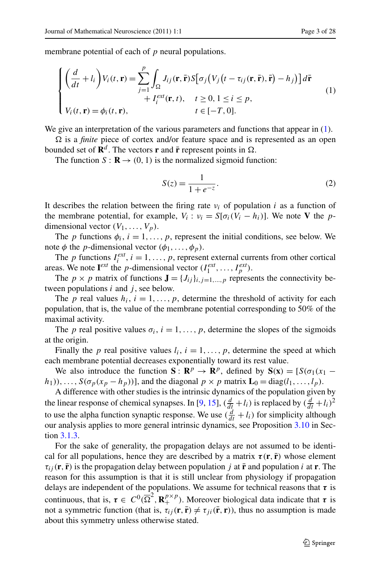membrane potential of each of *p* neural populations.

$$
\begin{cases}\n\left(\frac{d}{dt} + l_i\right) V_i(t, \mathbf{r}) = \sum_{j=1}^p \int_{\Omega} J_{ij}(\mathbf{r}, \bar{\mathbf{r}}) S\big[\sigma_j\big(V_j\big(t - \tau_{ij}(\mathbf{r}, \bar{\mathbf{r}}), \bar{\mathbf{r}}\big) - h_j\big)\big] d\bar{\mathbf{r}} \\
+ I_i^{ext}(\mathbf{r}, t), \quad t \ge 0, 1 \le i \le p, \\
V_i(t, \mathbf{r}) = \phi_i(t, \mathbf{r}), \qquad t \in [-T, 0].\n\end{cases}
$$
\n(1)

We give an interpretation of the various parameters and functions that appear in  $(1)$  $(1)$ .

Ω is a *finite* piece of cortex and/or feature space and is represented as an open bounded set of  $\mathbb{R}^d$ . The vectors **r** and **r** represent points in  $\Omega$ .

The function  $S : \mathbf{R} \to (0, 1)$  is the normalized sigmoid function:

<span id="page-2-0"></span>
$$
S(z) = \frac{1}{1 + e^{-z}}.\tag{2}
$$

It describes the relation between the firing rate  $v_i$  of population *i* as a function of the membrane potential, for example,  $V_i$ :  $v_i = S[\sigma_i(V_i - h_i)]$ . We note **V** the *p*dimensional vector  $(V_1, \ldots, V_p)$ .

The *p* functions  $\phi_i$ ,  $i = 1, \ldots, p$ , represent the initial conditions, see below. We note  $\phi$  the *p*-dimensional vector  $(\phi_1, \ldots, \phi_n)$ .

The *p* functions  $I_i^{ext}$ ,  $i = 1, ..., p$ , represent external currents from other cortical areas. We note  $I^{ext}$  the *p*-dimensional vector  $(I_1^{ext}, \ldots, I_p^{ext})$ .

The *p* × *p* matrix of functions  $\mathbf{J} = \{J_{ij}\}_{i,j=1,\dots,p}$  represents the connectivity between populations *i* and *j* , see below.

The *p* real values  $h_i$ ,  $i = 1, \ldots, p$ , determine the threshold of activity for each population, that is, the value of the membrane potential corresponding to 50% of the maximal activity.

The *p* real positive values  $\sigma_i$ ,  $i = 1, \ldots, p$ , determine the slopes of the sigmoids at the origin.

Finally the *p* real positive values  $l_i$ ,  $i = 1, \ldots, p$ , determine the speed at which each membrane potential decreases exponentially toward its rest value.

We also introduce the function **S** :  $\mathbb{R}^p \to \mathbb{R}^p$ , defined by  $S(\mathbf{x}) = [S(\sigma_1(x_1 - \sigma_2))$  $h_1$ ,,,,,, $S(\sigma_p(x_p - h_p))$ , and the diagonal  $p \times p$  matrix  $\mathbf{L}_0 = \text{diag}(l_1, \ldots, l_p)$ .

A difference with other studies is the intrinsic dynamics of the population given by the linear response of chemical synapses. In [\[9](#page-26-8), [15](#page-26-14)],  $(\frac{d}{dt} + l_i)$  is replaced by  $(\frac{d}{dt} + l_i)^2$ to use the alpha function synaptic response. We use  $\left(\frac{d}{dt} + l_i\right)$  for simplicity although our analysis applies to more general intrinsic dynamics, see Proposition [3.10](#page-12-1) in Section [3.1.3.](#page-11-0)

For the sake of generality, the propagation delays are not assumed to be identical for all populations, hence they are described by a matrix  $\tau(\mathbf{r}, \mathbf{\bar{r}})$  whose element  $\tau_{ij}$  (**r**, **r**<sup></sup>) is the propagation delay between population *j* at **r**<sup> $\tau$ </sup> and population *i* at **r**. The reason for this assumption is that it is still unclear from physiology if propagation delays are independent of the populations. We assume for technical reasons that *τ* is continuous, that is,  $\tau \in C^0(\overline{\Omega}^2, \mathbb{R}^{p \times p}_+)$ . Moreover biological data indicate that  $\tau$  is not a symmetric function (that is,  $\tau_{ij}(\mathbf{r}, \mathbf{r}) \neq \tau_{ji}(\mathbf{r}, \mathbf{r})$ ), thus no assumption is made about this symmetry unless otherwise stated.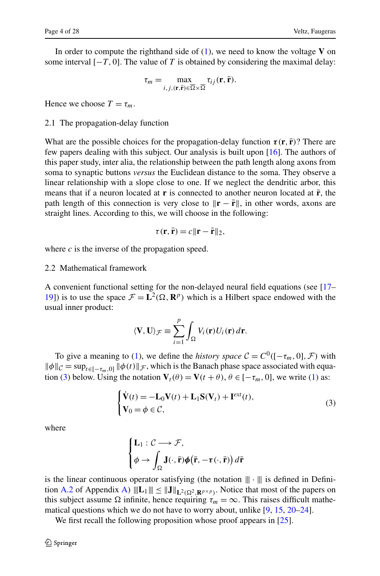<span id="page-3-1"></span>In order to compute the righthand side of [\(1](#page-2-0)), we need to know the voltage **V** on some interval  $[-T, 0]$ . The value of *T* is obtained by considering the maximal delay:

$$
\tau_m = \max_{i, j, (\mathbf{r}, \bar{\mathbf{r}}) \in \overline{\Omega} \times \overline{\Omega}} \tau_{ij}(\mathbf{r}, \bar{\mathbf{r}}).
$$

Hence we choose  $T = \tau_m$ .

#### 2.1 The propagation-delay function

What are the possible choices for the propagation-delay function  $\tau(\mathbf{r}, \mathbf{r})$ ? There are few papers dealing with this subject. Our analysis is built upon [\[16](#page-26-15)]. The authors of this paper study, inter alia, the relationship between the path length along axons from soma to synaptic buttons *versus* the Euclidean distance to the soma. They observe a linear relationship with a slope close to one. If we neglect the dendritic arbor, this means that if a neuron located at **r** is connected to another neuron located at  $\bar{\bf{r}}$ , the path length of this connection is very close to  $\|\mathbf{r} - \bar{\mathbf{r}}\|$ , in other words, axons are straight lines. According to this, we will choose in the following:

$$
\tau(\mathbf{r}, \bar{\mathbf{r}}) = c \|\mathbf{r} - \bar{\mathbf{r}}\|_2,
$$

where *c* is the inverse of the propagation speed.

## 2.2 Mathematical framework

A convenient functional setting for the non-delayed neural field equations (see [[17–](#page-26-16) [19\]](#page-26-17)) is to use the space  $\mathcal{F} = L^2(\Omega, \mathbf{R}^p)$  which is a Hilbert space endowed with the usual inner product:

<span id="page-3-0"></span>
$$
\langle \mathbf{V}, \mathbf{U} \rangle \mathcal{F} \equiv \sum_{i=1}^{p} \int_{\Omega} V_i(\mathbf{r}) U_i(\mathbf{r}) d\mathbf{r}.
$$

To give a meaning to [\(1](#page-2-0)), we define the *history space*  $C = C^0([- \tau_m, 0], \mathcal{F})$  with  $\|\phi\|_{\mathcal{C}} = \sup_{t \in [-\tau_m,0]} \|\phi(t)\|_{\mathcal{F}}$ , which is the Banach phase space associated with equa-tion [\(3](#page-3-0)) below. Using the notation  $V_t(\theta) = V(t + \theta)$ ,  $\theta \in [-\tau_m, 0]$ , we write [\(1](#page-2-0)) as:

$$
\begin{cases} \dot{\mathbf{V}}(t) = -\mathbf{L}_0 \mathbf{V}(t) + \mathbf{L}_1 \mathbf{S}(\mathbf{V}_t) + \mathbf{I}^{ext}(t), \\ \mathbf{V}_0 = \phi \in \mathcal{C}, \end{cases}
$$
\n(3)

where

$$
\begin{cases} \mathbf{L}_1: \mathcal{C} \longrightarrow \mathcal{F}, \\ \phi \rightarrow \int_{\Omega} \mathbf{J}(\cdot, \bar{\mathbf{r}}) \phi(\bar{\mathbf{r}}, -\tau(\cdot, \bar{\mathbf{r}})) d\bar{\mathbf{r}} \end{cases}
$$

is the linear continuous operator satisfying (the notation  $\|\cdot\|$  is defined in Defini-tion [A.2](#page-22-0) of Appendix [A\)](#page-22-1)  $\|\mathbf{L}_1\| \leq \|\mathbf{J}\|_{\mathbf{L}^2(\Omega^2, \mathbf{R}^{p \times p})}$ . Notice that most of the papers on this subject assume  $\Omega$  infinite, hence requiring  $\tau_m = \infty$ . This raises difficult mathematical questions which we do not have to worry about, unlike [\[9](#page-26-8), [15](#page-26-14), [20](#page-26-18)[–24](#page-26-19)].

We first recall the following proposition whose proof appears in [[25\]](#page-26-20).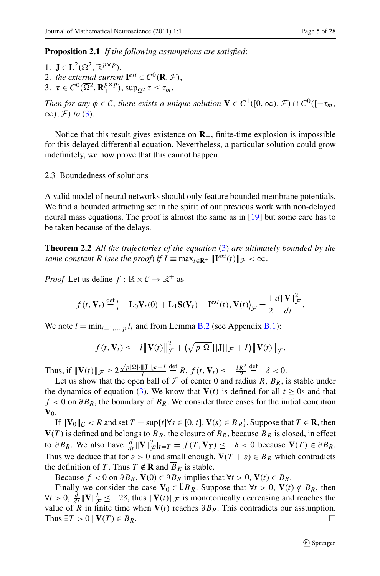**Proposition 2.1** *If the following assumptions are satisfied*:

1. **J**  $\in$  **L**<sup>2</sup>( $\Omega$ <sup>2</sup>,  $\mathbb{R}^{p \times p}$ ), 2. *the external current*  $\mathbf{I}^{ext} \in C^0(\mathbf{R}, \mathcal{F})$ , 3.  $\tau \in C^0(\overline{\Omega}^2, \mathbf{R}^{p \times p}_+)$ ,  $\sup_{\overline{\Omega}^2} \tau \leq \tau_m$ .

*Then for any*  $\phi \in \mathcal{C}$ , *there exists a unique solution*  $\mathbf{V} \in C^1([0,\infty), \mathcal{F}) \cap C^0([- \tau_m, \tau_m])$  $\infty$ *)*,  $\mathcal{F}$ *) to* [\(3](#page-3-0)).

Notice that this result gives existence on  $\mathbf{R}_+$ , finite-time explosion is impossible for this delayed differential equation. Nevertheless, a particular solution could grow indefinitely, we now prove that this cannot happen.

<span id="page-4-0"></span>2.3 Boundedness of solutions

A valid model of neural networks should only feature bounded membrane potentials. We find a bounded attracting set in the spirit of our previous work with non-delayed neural mass equations. The proof is almost the same as in [\[19](#page-26-17)] but some care has to be taken because of the delays.

**Theorem 2.2** *All the trajectories of the equation* ([3\)](#page-3-0) *are ultimately bounded by the same constant R* (*see the proof*) *if*  $I \equiv \max_{t \in \mathbb{R}^+} ||\mathbf{I}^{ext}(t)||_{\mathcal{F}} < \infty$ .

*Proof* Let us define  $f : \mathbb{R} \times C \to \mathbb{R}^+$  as

$$
f(t, \mathbf{V}_t) \stackrel{\text{def}}{=} \left\langle -\mathbf{L}_0 \mathbf{V}_t(0) + \mathbf{L}_1 \mathbf{S}(\mathbf{V}_t) + \mathbf{I}^{ext}(t), \mathbf{V}(t) \right\rangle_{\mathcal{F}} = \frac{1}{2} \frac{d \|\mathbf{V}\|_{\mathcal{F}}^2}{dt}.
$$

We note  $l = \min_{i=1,\dots,p} l_i$  and from Lemma [B.2](#page-24-0) (see Appendix [B.1\)](#page-23-0):

$$
f(t, \mathbf{V}_t) \leq -l \|\mathbf{V}(t)\|_{\mathcal{F}}^2 + (\sqrt{p|\Omega|} \|\mathbf{J}\|_{\mathcal{F}} + I) \|\mathbf{V}(t)\|_{\mathcal{F}}.
$$

Thus, if  $\|\mathbf{V}(t)\|_{\mathcal{F}} \geq 2 \frac{\sqrt{p|\Omega|} \cdot \|\mathbf{J}\|_{\mathcal{F}} + I}{l}$  $\stackrel{\text{def}}{=} R, f(t, \mathbf{V}_t) \leq -\frac{lR^2}{2}$  $\stackrel{\text{def}}{=} -\delta < 0.$ 

Let us show that the open ball of  $F$  of center 0 and radius  $R$ ,  $B_R$ , is stable under the dynamics of equation [\(3](#page-3-0)). We know that  $V(t)$  is defined for all  $t \ge 0$ s and that *f* < 0 on  $\partial B_R$ , the boundary of  $B_R$ . We consider three cases for the initial condition  $V_0$ .

If  $\|\mathbf{V}_0\|_{\mathcal{C}} < R$  and set  $T = \sup\{t | \forall s \in [0, t], \mathbf{V}(s) \in \overline{B}_R\}$ . Suppose that  $T \in \mathbf{R}$ , then  $V(T)$  is defined and belongs to  $\overline{B}_R$ , the closure of  $B_R$ , because  $\overline{B}_R$  is closed, in effect to  $\partial B_R$ . We also have  $\frac{d}{dt} \|\mathbf{V}\|_{\mathcal{F}}^2 |_{t=T} = f(T, \mathbf{V}_T) \le -\delta < 0$  because  $\mathbf{V}(T) \in \partial B_R$ . Thus we deduce that for  $\varepsilon > 0$  and small enough,  $V(T + \varepsilon) \in \overline{B}_R$  which contradicts the definition of *T*. Thus  $T \notin \mathbf{R}$  and  $\overline{B}_R$  is stable.

Because  $f < 0$  on  $\partial B_R$ ,  $\mathbf{V}(0) \in \partial B_R$  implies that  $\forall t > 0$ ,  $\mathbf{V}(t) \in B_R$ .

Finally we consider the case  $V_0 \in \mathbb{C}B_R$ . Suppose that  $\forall t > 0$ ,  $V(t) \notin B_R$ , then  $\forall t > 0$ ,  $\frac{d}{dt} \|\mathbf{V}\|_{\mathcal{F}}^2 \leq -2\delta$ , thus  $\|\mathbf{V}(t)\|_{\mathcal{F}}$  is monotonically decreasing and reaches the value of *R* in finite time when  $V(t)$  reaches  $\partial B_R$ . This contradicts our assumption. Thus  $\exists T > 0 \mid \mathbf{V}(T) \in B_R$ .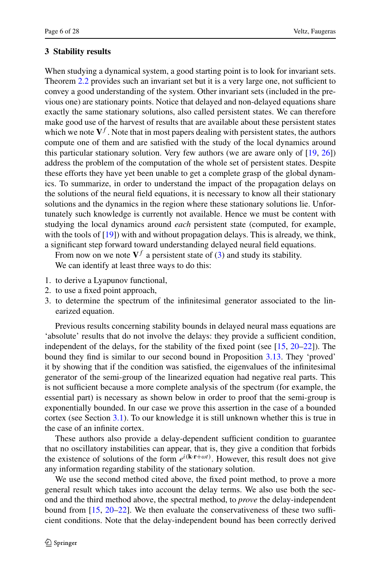## <span id="page-5-0"></span>**3 Stability results**

When studying a dynamical system, a good starting point is to look for invariant sets. Theorem [2.2](#page-4-0) provides such an invariant set but it is a very large one, not sufficient to convey a good understanding of the system. Other invariant sets (included in the previous one) are stationary points. Notice that delayed and non-delayed equations share exactly the same stationary solutions, also called persistent states. We can therefore make good use of the harvest of results that are available about these persistent states which we note  $V^f$ . Note that in most papers dealing with persistent states, the authors compute one of them and are satisfied with the study of the local dynamics around this particular stationary solution. Very few authors (we are aware only of [[19](#page-26-17), [26\]](#page-26-21)) address the problem of the computation of the whole set of persistent states. Despite these efforts they have yet been unable to get a complete grasp of the global dynamics. To summarize, in order to understand the impact of the propagation delays on the solutions of the neural field equations, it is necessary to know all their stationary solutions and the dynamics in the region where these stationary solutions lie. Unfortunately such knowledge is currently not available. Hence we must be content with studying the local dynamics around *each* persistent state (computed, for example, with the tools of  $[19]$  $[19]$ ) with and without propagation delays. This is already, we think, a significant step forward toward understanding delayed neural field equations.

From now on we note  $V<sup>f</sup>$  a persistent state of ([3\)](#page-3-0) and study its stability. We can identify at least three ways to do this:

- 1. to derive a Lyapunov functional,
- 2. to use a fixed point approach,
- 3. to determine the spectrum of the infinitesimal generator associated to the linearized equation.

Previous results concerning stability bounds in delayed neural mass equations are 'absolute' results that do not involve the delays: they provide a sufficient condition, independent of the delays, for the stability of the fixed point (see  $[15, 20-22]$  $[15, 20-22]$  $[15, 20-22]$  $[15, 20-22]$ ). The bound they find is similar to our second bound in Proposition [3.13](#page-13-0). They 'proved' it by showing that if the condition was satisfied, the eigenvalues of the infinitesimal generator of the semi-group of the linearized equation had negative real parts. This is not sufficient because a more complete analysis of the spectrum (for example, the essential part) is necessary as shown below in order to proof that the semi-group is exponentially bounded. In our case we prove this assertion in the case of a bounded cortex (see Section [3.1](#page-6-0)). To our knowledge it is still unknown whether this is true in the case of an infinite cortex.

These authors also provide a delay-dependent sufficient condition to guarantee that no oscillatory instabilities can appear, that is, they give a condition that forbids the existence of solutions of the form  $e^{i(k \cdot \mathbf{r} + \omega t)}$ . However, this result does not give any information regarding stability of the stationary solution.

We use the second method cited above, the fixed point method, to prove a more general result which takes into account the delay terms. We also use both the second and the third method above, the spectral method, to *prove* the delay-independent bound from  $[15, 20-22]$  $[15, 20-22]$  $[15, 20-22]$ . We then evaluate the conservativeness of these two sufficient conditions. Note that the delay-independent bound has been correctly derived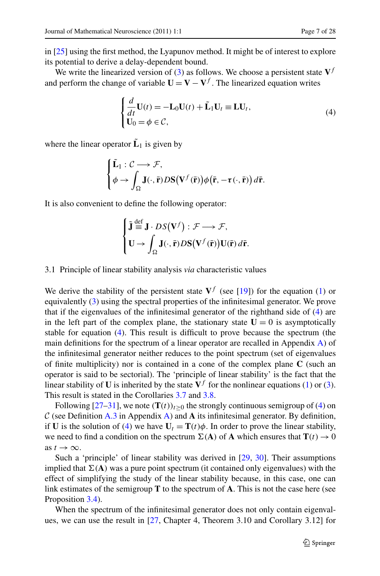in [\[25](#page-26-20)] using the first method, the Lyapunov method. It might be of interest to explore its potential to derive a delay-dependent bound.

We write the linearized version of ([3\)](#page-3-0) as follows. We choose a persistent state  $V<sup>f</sup>$ and perform the change of variable  $\mathbf{U} = \mathbf{V} - \mathbf{V}^f$ . The linearized equation writes

<span id="page-6-1"></span>
$$
\begin{cases}\n\frac{d}{dt}\mathbf{U}(t) = -\mathbf{L}_0 \mathbf{U}(t) + \tilde{\mathbf{L}}_1 \mathbf{U}_t \equiv \mathbf{L} \mathbf{U}_t, \\
\mathbf{U}_0 = \phi \in \mathcal{C},\n\end{cases} \tag{4}
$$

where the linear operator  $\tilde{\mathbf{L}}_1$  is given by

$$
\begin{cases} \tilde{\mathbf{L}}_1 : \mathcal{C} \longrightarrow \mathcal{F}, \\ \phi \rightarrow \int_{\Omega} \mathbf{J}(\cdot, \bar{\mathbf{r}}) D\mathbf{S}(\mathbf{V}^f(\bar{\mathbf{r}})) \phi(\bar{\mathbf{r}}, -\tau(\cdot, \bar{\mathbf{r}})) d\bar{\mathbf{r}}. \end{cases}
$$

<span id="page-6-0"></span>It is also convenient to define the following operator:

$$
\begin{cases} \tilde{\mathbf{J}} \stackrel{\text{def}}{=} \mathbf{J} \cdot DS(\mathbf{V}^f) : \mathcal{F} \longrightarrow \mathcal{F}, \\ \mathbf{U} \longrightarrow \int_{\Omega} \mathbf{J}(\cdot, \bar{\mathbf{r}}) DS(\mathbf{V}^f(\bar{\mathbf{r}})) \mathbf{U}(\bar{\mathbf{r}}) d\bar{\mathbf{r}}. \end{cases}
$$

#### 3.1 Principle of linear stability analysis *via* characteristic values

We derive the stability of the persistent state  $V^f$  (see [[19\]](#page-26-17)) for the equation ([1\)](#page-2-0) or equivalently [\(3](#page-3-0)) using the spectral properties of the infinitesimal generator. We prove that if the eigenvalues of the infinitesimal generator of the righthand side of [\(4](#page-6-1)) are in the left part of the complex plane, the stationary state  $U = 0$  is asymptotically stable for equation ([4\)](#page-6-1). This result is difficult to prove because the spectrum (the main definitions for the spectrum of a linear operator are recalled in Appendix [A](#page-22-1)) of the infinitesimal generator neither reduces to the point spectrum (set of eigenvalues of finite multiplicity) nor is contained in a cone of the complex plane **C** (such an operator is said to be sectorial). The 'principle of linear stability' is the fact that the linear stability of **U** is inherited by the state  $V^f$  for the nonlinear equations [\(1](#page-2-0)) or ([3\)](#page-3-0). This result is stated in the Corollaries [3.7](#page-10-0) and [3.8](#page-10-1).

Following [[27–](#page-26-23)[31\]](#page-27-0), we note  $(T(t))_{t>0}$  the strongly continuous semigroup of [\(4](#page-6-1)) on C (see Definition [A.3](#page-22-2) in Appendix [A\)](#page-22-1) and A its infinitesimal generator. By definition, if **U** is the solution of ([4\)](#page-6-1) we have  $U_t = T(t)\phi$ . In order to prove the linear stability, we need to find a condition on the spectrum  $\Sigma(A)$  of A which ensures that  $\mathbf{T}(t) \to 0$ as  $t \to \infty$ .

Such a 'principle' of linear stability was derived in [\[29](#page-27-1), [30](#page-27-2)]. Their assumptions implied that  $\Sigma(A)$  was a pure point spectrum (it contained only eigenvalues) with the effect of simplifying the study of the linear stability because, in this case, one can link estimates of the semigroup **T** to the spectrum of **A**. This is not the case here (see Proposition [3.4\)](#page-8-0).

When the spectrum of the infinitesimal generator does not only contain eigenvalues, we can use the result in [[27,](#page-26-23) Chapter 4, Theorem 3.10 and Corollary 3.12] for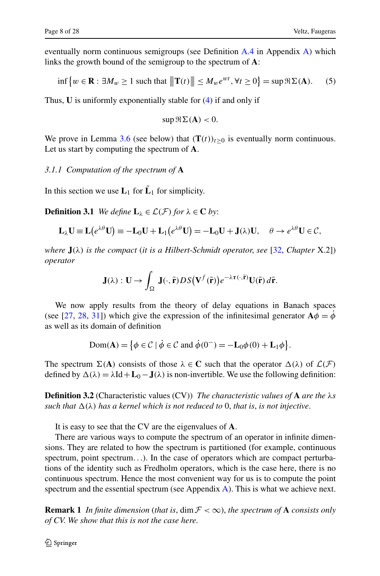eventually norm continuous semigroups (see Definition [A.4](#page-22-3) in Appendix [A\)](#page-22-1) which links the growth bound of the semigroup to the spectrum of **A**:

$$
\inf\left\{w\in\mathbf{R}:\exists M_w\geq 1\text{ such that }\|\mathbf{T}(t)\|\leq M_w e^{wt},\forall t\geq 0\right\}=\sup\Re\Sigma(\mathbf{A}).\tag{5}
$$

Thus, **U** is uniformly exponentially stable for ([4\)](#page-6-1) if and only if

<span id="page-7-0"></span>
$$
\sup \Re \Sigma(\mathbf{A}) < 0.
$$

We prove in Lemma [3.6](#page-10-2) (see below) that  $(T(t))_{t>0}$  is eventually norm continuous. Let us start by computing the spectrum of **A**.

## *3.1.1 Computation of the spectrum of* **A**

In this section we use  $\mathbf{L}_1$  for  $\tilde{\mathbf{L}}_1$  for simplicity.

**Definition 3.1** *We define*  $L_{\lambda} \in \mathcal{L}(\mathcal{F})$  *for*  $\lambda \in \mathbf{C}$  *by*:

$$
\mathbf{L}_{\lambda} \mathbf{U} \equiv \mathbf{L}(e^{\lambda \theta} \mathbf{U}) \equiv -\mathbf{L}_0 \mathbf{U} + \mathbf{L}_1(e^{\lambda \theta} \mathbf{U}) = -\mathbf{L}_0 \mathbf{U} + \mathbf{J}(\lambda) \mathbf{U}, \quad \theta \to e^{\lambda \theta} \mathbf{U} \in \mathcal{C},
$$

*where* **J***(λ) is the compact* (*it is a Hilbert-Schmidt operator*, *see* [[32,](#page-27-3) *Chapter* X.2]) *operator*

$$
\mathbf{J}(\lambda): \mathbf{U} \to \int_{\Omega} \mathbf{J}(\cdot,\bar{\mathbf{r}}) DS(\mathbf{V}^f(\bar{\mathbf{r}})) e^{-\lambda \tau(\cdot,\bar{\mathbf{r}})} \mathbf{U}(\bar{\mathbf{r}}) d\bar{\mathbf{r}}.
$$

We now apply results from the theory of delay equations in Banach spaces (see [\[27](#page-26-23), [28](#page-27-4), [31\]](#page-27-0)) which give the expression of the infinitesimal generator  $\mathbf{A}\phi = \dot{\phi}$ as well as its domain of definition

$$
\text{Dom}(\mathbf{A}) = \left\{ \phi \in \mathcal{C} \mid \dot{\phi} \in \mathcal{C} \text{ and } \dot{\phi}(0^{-}) = -\mathbf{L}_0 \phi(0) + \mathbf{L}_1 \phi \right\}.
$$

The spectrum  $\Sigma(A)$  consists of those  $\lambda \in \mathbb{C}$  such that the operator  $\Delta(\lambda)$  of  $\mathcal{L}(\mathcal{F})$ defined by  $\Delta(\lambda) = \lambda \text{Id} + \textbf{L}_0 - \textbf{J}(\lambda)$  is non-invertible. We use the following definition:

**Definition 3.2** (Characteristic values (CV)) *The characteristic values of* **A** *are the λs such that*  $\Delta(\lambda)$  *has a kernel which is not reduced to* 0, *that is, is not injective.* 

It is easy to see that the CV are the eigenvalues of **A**.

There are various ways to compute the spectrum of an operator in infinite dimensions. They are related to how the spectrum is partitioned (for example, continuous spectrum, point spectrum*...*). In the case of operators which are compact perturbations of the identity such as Fredholm operators, which is the case here, there is no continuous spectrum. Hence the most convenient way for us is to compute the point spectrum and the essential spectrum (see Appendix [A](#page-22-1)). This is what we achieve next.

**Remark 1** *In finite dimension (that is, dim*  $\mathcal{F} < \infty$ ), *the spectrum of* **A** *consists only of CV*. *We show that this is not the case here*.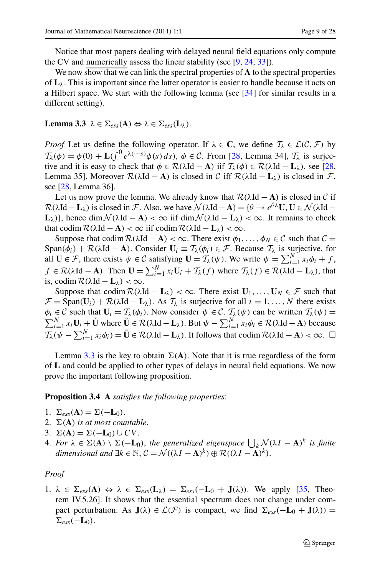<span id="page-8-1"></span>Notice that most papers dealing with delayed neural field equations only compute the CV and numerically assess the linear stability (see [[9,](#page-26-8) [24,](#page-26-19) [33\]](#page-27-5)).

We now show that we can link the spectral properties of **A** to the spectral properties of  $\mathbf{L}_{\lambda}$ . This is important since the latter operator is easier to handle because it acts on a Hilbert space. We start with the following lemma (see [\[34](#page-27-6)] for similar results in a different setting).

 $\mathbf{Lemma 3.3}$   $\lambda \in \Sigma_{ess}(\mathbf{A}) \Leftrightarrow \lambda \in \Sigma_{ess}(\mathbf{L}_{\lambda})$ .

*Proof* Let us define the following operator. If  $\lambda \in \mathbb{C}$ , we define  $\mathcal{T}_{\lambda} \in \mathcal{L}(\mathcal{C}, \mathcal{F})$  by  $\mathcal{T}_{\lambda}(\phi) = \phi(0) + \mathbf{L}( \int_{0}^{0} e^{\lambda(\cdot - s)} \phi(s) ds), \ \phi \in \mathcal{C}$ . From [[28,](#page-27-4) Lemma 34],  $\mathcal{T}_{\lambda}$  is surjective and it is easy to check that  $\phi \in \mathcal{R}(\lambda \mathrm{Id} - \mathbf{A})$  iif  $\mathcal{T}_{\lambda}(\phi) \in \mathcal{R}(\lambda \mathrm{Id} - \mathbf{L}_{\lambda})$ , see [\[28](#page-27-4), Lemma 35]. Moreover  $\mathcal{R}(\lambda \text{Id} - \textbf{A})$  is closed in C iff  $\mathcal{R}(\lambda \text{Id} - \textbf{L}_{\lambda})$  is closed in F, see [\[28](#page-27-4), Lemma 36].

Let us now prove the lemma. We already know that  $\mathcal{R}(\lambda \mathrm{Id} - \mathbf{A})$  is closed in C if  $\mathcal{R}(\lambda \mathrm{Id} - \mathbf{L}_{\lambda})$  is closed in F. Also, we have  $\mathcal{N}(\lambda \mathrm{Id} - \mathbf{A}) = {\theta \rightarrow e^{\theta \lambda} \mathbf{U}, \mathbf{U} \in \mathcal{N}(\lambda \mathrm{Id} - \mathbf{A})}$ **L**<sub>*λ*</sub>)}, hence dim  $\mathcal{N}(\lambda \text{Id} - \mathbf{A}) < \infty$  iif dim  $\mathcal{N}(\lambda \text{Id} - \mathbf{L}_{\lambda}) < \infty$ . It remains to check that codim  $\mathcal{R}(\lambda \mathbf{Id} - \mathbf{A}) < \infty$  iif codim  $\mathcal{R}(\lambda \mathbf{Id} - \mathbf{L}_{\lambda}) < \infty$ .

Suppose that codim  $\mathcal{R}(\lambda \mathrm{Id} - \mathbf{A}) < \infty$ . There exist  $\phi_1, \ldots, \phi_N \in \mathcal{C}$  such that  $\mathcal{C} =$ Span( $\phi_i$ ) + R( $\lambda$ Id – **A**). Consider  $U_i \equiv T_\lambda(\phi_i) \in \mathcal{F}$ . Because  $T_\lambda$  is surjective, for all  $\mathbf{U} \in \mathcal{F}$ , there exists  $\psi \in \mathcal{C}$  satisfying  $\mathbf{U} = \mathcal{T}_{\lambda}(\psi)$ . We write  $\psi = \sum_{i=1}^{N} x_i \phi_i + f$ ,  $f \in \mathcal{R}(\lambda \mathbf{Id} - \mathbf{A})$ . Then  $\mathbf{U} = \sum_{i=1}^{N} x_i \mathbf{U}_i + \mathcal{T}_{\lambda}(f)$  where  $\mathcal{T}_{\lambda}(f) \in \mathcal{R}(\lambda \mathbf{Id} - \mathbf{L}_{\lambda})$ , that is, codim  $\mathcal{R}(\lambda \mathbf{Id} - \mathbf{L}_{\lambda}) < \infty$ .

<span id="page-8-0"></span>Suppose that codim  $\mathcal{R}(\lambda \mathrm{Id} - \mathbf{L}_{\lambda}) < \infty$ . There exist  $\mathbf{U}_1, \ldots, \mathbf{U}_N \in \mathcal{F}$  such that  $\mathcal{F} = \text{Span}(\mathbf{U}_i) + \mathcal{R}(\lambda \mathbf{Id} - \mathbf{L}_\lambda)$ . As  $\mathcal{T}_\lambda$  is surjective for all  $i = 1, ..., N$  there exists  $\phi_i \in \mathcal{C}$  such that  $\mathbf{U}_i = \mathcal{T}_\lambda(\phi_i)$ . Now consider  $\psi \in \mathcal{C}$ .  $\mathcal{T}_\lambda(\psi)$  can be written  $\mathcal{T}_\lambda(\psi) =$  $\phi_i \in C$  such that  $\mathbf{U}_i = \mathcal{T}_\lambda(\phi_i)$ . Now consider  $\psi \in C$ .  $\mathcal{T}_\lambda(\psi)$  can be written  $\mathcal{T}_\lambda(\psi) = \sum_{i=1}^N x_i \mathbf{U}_i + \tilde{\mathbf{U}}$  where  $\tilde{\mathbf{U}} \in \mathcal{R}(\lambda \mathrm{Id} - \mathbf{L}_\lambda)$ . But  $\psi - \sum_{i=1}^N x_i \phi_i \in \mathcal{R}(\lambda \mathrm{Id} - \mathbf{A$  $\mathcal{T}_{\lambda}(\psi - \sum_{i=1}^{N} x_i \phi_i) = \tilde{\mathbf{U}} \in \mathcal{R}(\lambda \mathrm{Id} - \mathbf{L}_{\lambda})$ . It follows that codim  $\mathcal{R}(\lambda \mathrm{Id} - \mathbf{A}) < \infty$ .  $\square$ 

Lemma [3.3](#page-8-1) is the key to obtain  $\Sigma(A)$ . Note that it is true regardless of the form of **L** and could be applied to other types of delays in neural field equations. We now prove the important following proposition.

**Proposition 3.4 A** *satisfies the following properties*:

1.  $\Sigma_{ess}(A) = \Sigma(-L_0)$ .

- 2.  $\Sigma(A)$  *is at most countable.*
- 3.  $\Sigma(A) = \Sigma(-L_0) \cup CV$ .
- 4. *For*  $\lambda \in \Sigma$ (**A**)  $\setminus \Sigma$ (−**L**<sub>0</sub>), *the generalized eigenspace*  $\bigcup_{k} \mathcal{N}(\lambda I \mathbf{A})^k$  *is finite dimensional and*  $\exists k \in \mathbb{N}, C = \mathcal{N}((\lambda I - A)^k) \oplus \mathcal{R}((\lambda I - A)^k)$ .

#### *Proof*

1.  $\lambda \in \Sigma_{ess}(A) \Leftrightarrow \lambda \in \Sigma_{ess}(L_{\lambda}) = \Sigma_{ess}(-L_0 + J(\lambda))$ . We apply [[35,](#page-27-7) Theorem IV.5.26]. It shows that the essential spectrum does not change under compact perturbation. As  $J(\lambda) \in \mathcal{L}(\mathcal{F})$  is compact, we find  $\Sigma_{ess}(-L_0 + J(\lambda)) =$  $\Sigma_{ess}$  $(-L_0)$ .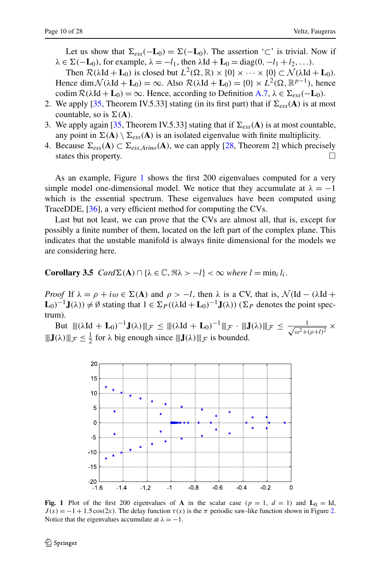Let us show that  $\Sigma_{ess}(-\mathbf{L}_0) = \Sigma(-\mathbf{L}_0)$ . The assertion '⊂' is trivial. Now if  $\lambda \in \Sigma(-\mathbf{L}_0)$ , for example,  $\lambda = -l_1$ , then  $\lambda \mathrm{Id} + \mathbf{L}_0 = \mathrm{diag}(0, -l_1 + l_2, \ldots)$ .

Then  $\mathcal{R}(\lambda \mathrm{Id} + \mathbf{L}_0)$  is closed but  $L^2(\Omega, \mathbb{R}) \times \{0\} \times \cdots \times \{0\} \subset \mathcal{N}(\lambda \mathrm{Id} + \mathbf{L}_0)$ . Hence dim  $\mathcal{N}(\lambda \mathbf{Id} + \mathbf{L}_0) = \infty$ . Also  $\mathcal{R}(\lambda \mathbf{Id} + \mathbf{L}_0) = \{0\} \times L^2(\Omega, \mathbb{R}^{p-1})$ , hence codim  $\mathcal{R}(\lambda \mathrm{Id} + \mathbf{L}_0) = \infty$ . Hence, according to Definition [A.7,](#page-23-1)  $\lambda \in \Sigma_{ess}(-\mathbf{L}_0)$ .

- 2. We apply [[35,](#page-27-7) Theorem IV.5.33] stating (in its first part) that if  $\Sigma_{ess}(A)$  is at most countable, so is  $\Sigma(A)$ .
- 3. We apply again [\[35,](#page-27-7) Theorem IV.5.33] stating that if  $\Sigma_{ess}(A)$  is at most countable, any point in  $\Sigma(A) \setminus \Sigma_{ess}(A)$  is an isolated eigenvalue with finite multiplicity.
- 4. Because  $Σ_{ess}(A) ⊂ Σ_{ess,Arino}(A)$ , we can apply [[28,](#page-27-4) Theorem 2] which precisely states this property states this property.

<span id="page-9-1"></span>As an example, Figure [1](#page-9-0) shows the first 200 eigenvalues computed for a very simple model one-dimensional model. We notice that they accumulate at  $\lambda = -1$ which is the essential spectrum. These eigenvalues have been computed using TraceDDE, [[36\]](#page-27-8), a very efficient method for computing the CVs.

Last but not least, we can prove that the CVs are almost all, that is, except for possibly a finite number of them, located on the left part of the complex plane. This indicates that the unstable manifold is always finite dimensional for the models we are considering here.

**Corollary 3.5**  $Card\Sigma(A) \cap {\{\lambda \in \mathbb{C}, \forall \lambda > -l\}} < \infty$  where  $l = \min_i l_i$ .

*Proof* If  $\lambda = \rho + i\omega \in \Sigma(A)$  and  $\rho > -l$ , then  $\lambda$  is a CV, that is,  $\mathcal{N}(\text{Id} - (\lambda \text{Id} +$  $L_0$ <sup>-1</sup>**J**(λ)) ≠ Ø stating that  $1 \in \Sigma_P((\lambda \text{Id} + \mathbf{L}_0)^{-1}$ **J**(λ)) ( $\Sigma_P$  denotes the point spectrum).

But  $\|(\lambda \mathbf{Id} + \mathbf{L}_0)^{-1} \mathbf{J}(\lambda)\|_{\mathcal{F}} \leq \|(\lambda \mathbf{Id} + \mathbf{L}_0)^{-1}\|_{\mathcal{F}} \cdot \| \mathbf{J}(\lambda) \|_{\mathcal{F}} \leq \frac{1}{\sqrt{\omega^2 + (\rho + l)^2}} \times$  $\|\mathbf{J}(\lambda)\|_{\mathcal{F}} \le \frac{1}{2}$  for  $\lambda$  big enough since  $\|\mathbf{J}(\lambda)\|_{\mathcal{F}}$  is bounded.



<span id="page-9-0"></span>**Fig. 1** Plot of the first 200 eigenvalues of **A** in the scalar case ( $p = 1$ ,  $d = 1$ ) and  $\mathbf{L}_0 = \text{Id}$ ,  $J(x) = -1 + 1.5 \cos(2x)$ . The delay function  $\tau(x)$  is the  $\pi$  periodic saw-like function shown in Figure [2.](#page-20-0) Notice that the eigenvalues accumulate at  $\lambda = -1$ .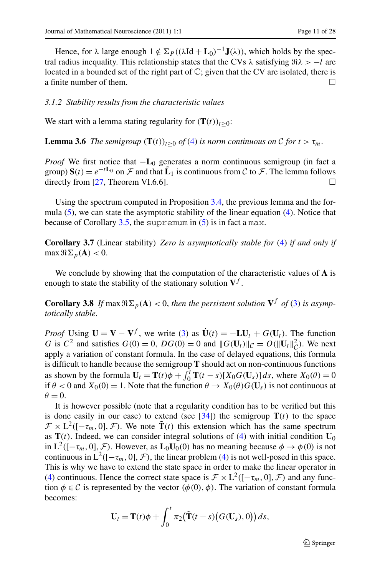<span id="page-10-2"></span>Hence, for  $\lambda$  large enough  $1 \notin \Sigma_P((\lambda \text{Id} + \mathbf{L}_0)^{-1} \mathbf{J}(\lambda))$ , which holds by the spectral radius inequality. This relationship states that the CVs  $\lambda$  satisfying  $\Re \lambda > -l$  are located in a bounded set of the right part of C; given that the CV are isolated, there is a finite number of them.  $\Box$ 

## *3.1.2 Stability results from the characteristic values*

We start with a lemma stating regularity for  $(T(t))_{t>0}$ :

**Lemma 3.6** *The semigroup*  $(T(t))_{t>0}$  *of* [\(4](#page-6-1)) *is norm continuous on* C *for*  $t > \tau_m$ .

<span id="page-10-0"></span>*Proof* We first notice that −**L**<sub>0</sub> generates a norm continuous semigroup (in fact a group)  $S(t) = e^{-tL_0}$  on  $\mathcal F$  and that  $\tilde{\mathbf{L}}_1$  is continuous from  $\mathcal C$  to  $\mathcal F$ . The lemma follows directly from [27. Theorem VI.6.6]. directly from [[27,](#page-26-23) Theorem VI.6.6].

Using the spectrum computed in Proposition [3.4,](#page-8-0) the previous lemma and the formula  $(5)$  $(5)$ , we can state the asymptotic stability of the linear equation  $(4)$  $(4)$ . Notice that because of Corollary  $3.5$ , the supremum in  $(5)$  $(5)$  is in fact a max.

<span id="page-10-1"></span>**Corollary 3.7** (Linear stability) *Zero is asymptotically stable for* ([4\)](#page-6-1) *if and only if*  $\max \Re \sum_{p} (\mathbf{A}) < 0.$ 

We conclude by showing that the computation of the characteristic values of **A** is enough to state the stability of the stationary solution  $V<sup>f</sup>$ .

**Corollary 3.8** *If* max  $\Re\Sigma_p(A) < 0$ , then the persistent solution  $V^f$  *of* [\(3](#page-3-0)) *is asymptotically stable*.

*Proof* Using  $\mathbf{U} = \mathbf{V} - \mathbf{V}^f$ , we write ([3\)](#page-3-0) as  $\dot{\mathbf{U}}(t) = -\mathbf{L}\mathbf{U}_t + G(\mathbf{U}_t)$ . The function *G* is  $C^2$  and satisfies  $G(0) = 0$ ,  $DG(0) = 0$  and  $\|G(\mathbf{U}_t)\|_{\mathcal{C}} = O(\|\mathbf{U}_t\|_{\mathcal{C}}^2)$ . We next apply a variation of constant formula. In the case of delayed equations, this formula is difficult to handle because the semigroup **T** should act on non-continuous functions as shown by the formula  $\mathbf{U}_t = \mathbf{T}(t)\phi + \int_0^t \mathbf{T}(t-s)[X_0G(\mathbf{U}_s)]ds$ , where  $X_0(\theta) = 0$ if  $\theta$  < 0 and  $X_0(0) = 1$ . Note that the function  $\theta \to X_0(\theta) G(\mathbf{U}_s)$  is not continuous at  $\theta = 0$ .

It is however possible (note that a regularity condition has to be verified but this is done easily in our case) to extend (see  $[34]$  $[34]$ ) the semigroup  $T(t)$  to the space  $\mathcal{F} \times L^2([- \tau_m, 0], \mathcal{F})$ . We note  $\tilde{\mathbf{T}}(t)$  this extension which has the same spectrum as  $T(t)$ . Indeed, we can consider integral solutions of ([4\)](#page-6-1) with initial condition  $U_0$ in  $L^2([- \tau_m, 0], \mathcal{F})$ . However, as  $L_0U_0(0)$  has no meaning because  $\phi \to \phi(0)$  is not continuous in  $L^2([- \tau_m, 0], \mathcal{F})$ , the linear problem ([4\)](#page-6-1) is not well-posed in this space. This is why we have to extend the state space in order to make the linear operator in [\(4](#page-6-1)) continuous. Hence the correct state space is  $\mathcal{F} \times L^2([- \tau_m, 0], \mathcal{F})$  and any function  $\phi \in \mathcal{C}$  is represented by the vector  $(\phi(0), \phi)$ . The variation of constant formula becomes:

$$
\mathbf{U}_t = \mathbf{T}(t)\phi + \int_0^t \pi_2(\tilde{\mathbf{T}}(t-s)(G(\mathbf{U}_s),0)) ds,
$$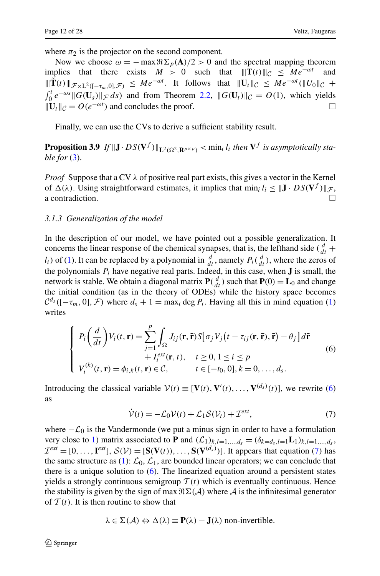where  $\pi_2$  is the projector on the second component.

Now we choose  $\omega = -\max \Re \Sigma_p(\mathbf{A})/2 > 0$  and the spectral mapping theorem plies that there exists  $M > 0$  such that  $||\mathbf{T}(t)||_C < Me^{-\omega t}$  and implies that there exists  $M > 0$  such that  $\|\mathbf{T}(t)\|_{\mathcal{C}} \leq Me^{-\omega t}$  $\|\mathbf{T}(t)\|_{\mathcal{F}\times L^2([-τ_m,0],\mathcal{F})}$  ≤  $Me^{-\omega t}$ . It follows that  $\|\mathbf{U}_t\|_{\mathcal{C}}$  ≤  $Me^{-\omega t}(\|U_0\|_{\mathcal{C}} +$  $\int_0^t e^{-\omega s} \| G(\mathbf{U}_s) \|_{\mathcal{F}} ds$  and from Theorem [2.2,](#page-4-0)  $\| G(\mathbf{U}_t) \|_{\mathcal{C}} = O(1)$ , which yields  $\|\mathbf{U}_t\|_{\mathcal{C}} = O(e^{-\omega t})$  and concludes the proof.

Finally, we can use the CVs to derive a sufficient stability result.

<span id="page-11-0"></span>**Proposition 3.9** *If*  $||J \cdot DS(V^f)||_{L^2(\Omega^2, R^{p \times p})}$   $<$  min<sub>i</sub> *l<sub>i</sub>* then  $V^f$  *is asymptotically stable for* ([3\)](#page-3-0).

*Proof* Suppose that a CV *λ* of positive real part exists, this gives a vector in the Kernel of  $\Delta(\lambda)$ . Using straightforward estimates, it implies that min<sub>*i*</sub>  $l_i \leq ||\mathbf{J} \cdot DS(\mathbf{V}^f)||_{\mathcal{F}}$ , a contradiction a contradiction.

#### *3.1.3 Generalization of the model*

In the description of our model, we have pointed out a possible generalization. It concerns the linear response of the chemical synapses, that is, the lefthand side  $\left(\frac{d}{dt} + \frac{d}{dt}\right)$ *l<sub>i</sub>*) of ([1\)](#page-2-0). It can be replaced by a polynomial in  $\frac{d}{dt}$ , namely  $P_i(\frac{d}{dt})$ , where the zeros of the polynomials  $P_i$  have negative real parts. Indeed, in this case, when **J** is small, the network is stable. We obtain a diagonal matrix  $P(\frac{d}{dt})$  such that  $P(0) = L_0$  and change the initial condition (as in the theory of ODEs) while the history space becomes  $C^{d_s}([-\tau_m, 0], \mathcal{F})$  where  $d_s + 1 = \max_i \deg P_i$ . Having all this in mind equation [\(1](#page-2-0)) writes

$$
\begin{cases}\nP_i\left(\frac{d}{dt}\right)V_i(t,\mathbf{r}) = \sum_{j=1}^p \int_{\Omega} J_{ij}(\mathbf{r},\bar{\mathbf{r}})S[\sigma_j V_j(t-\tau_{ij}(\mathbf{r},\bar{\mathbf{r}}),\bar{\mathbf{r}}) - \theta_j]d\bar{\mathbf{r}} \\
+ I_i^{ext}(\mathbf{r},t), \quad t \ge 0, 1 \le i \le p \\
V_i^{(k)}(t,\mathbf{r}) = \phi_{i,k}(t,\mathbf{r}) \in \mathcal{C}, \qquad t \in [-t_0,0], k = 0,\ldots,d_s.\n\end{cases}
$$
\n(6)

Introducing the classical variable  $V(t) \equiv [\mathbf{V}(t), \mathbf{V}'(t), ..., \mathbf{V}^{(d_s)}(t)]$ , we rewrite [\(6](#page-11-1)) as

<span id="page-11-2"></span><span id="page-11-1"></span>
$$
\dot{\mathcal{V}}(t) = -\mathcal{L}_0 \mathcal{V}(t) + \mathcal{L}_1 \mathcal{S}(\mathcal{V}_t) + \mathcal{I}^{\text{ext}},\tag{7}
$$

where  $-\mathcal{L}_0$  is the Vandermonde (we put a minus sign in order to have a formulation very close to [1\)](#page-2-0) matrix associated to **P** and  $(L_1)_{k,l=1,\dots,d_s} = (\delta_{k=d_s,l=1}L_1)_{k,l=1,\dots,d_s}$ ,  $\mathcal{I}^{ext} = [0, \ldots, \mathbf{I}^{ext}], \mathcal{S}(\mathcal{V}) = [\mathbf{S}(\mathbf{V}(t)), \ldots, \mathbf{S}(\mathbf{V}^{(d_s)})]$ . It appears that equation [\(7](#page-11-2)) has the same structure as [\(1](#page-2-0)):  $\mathcal{L}_0$ ,  $\mathcal{L}_1$ , are bounded linear operators; we can conclude that there is a unique solution to  $(6)$ . The linearized equation around a persistent states yields a strongly continuous semigroup  $T(t)$  which is eventually continuous. Hence the stability is given by the sign of max  $\Re \Sigma(\mathcal{A})$  where  $\mathcal{A}$  is the infinitesimal generator of  $T(t)$ . It is then routine to show that

$$
\lambda \in \Sigma(\mathcal{A}) \Leftrightarrow \Delta(\lambda) \equiv \mathbf{P}(\lambda) - \mathbf{J}(\lambda)
$$
 non-invertible.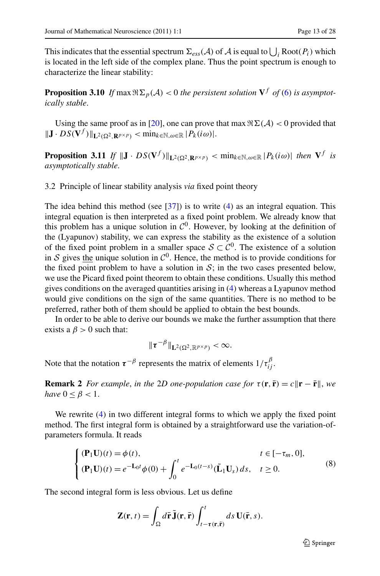<span id="page-12-1"></span>This indicates that the essential spectrum  $\Sigma_{ess}(A)$  of A is equal to  $\bigcup_i \text{Root}(P_i)$  which is located in the left side of the complex plane. Thus the point spectrum is enough to characterize the linear stability:

**Proposition 3.10** *If* max  $\Re \Sigma_p(\mathcal{A}) < 0$  *the persistent solution*  $V^f$  *of* [\(6](#page-11-1)) *is asymptotically stable*.

<span id="page-12-0"></span>Using the same proof as in [[20\]](#page-26-18), one can prove that max  $\Re \Sigma(\mathcal{A}) < 0$  provided that  $\|\mathbf{J} \cdot D S(\mathbf{V}^f)\|_{\mathbf{L}^2(\Omega^2, \mathbf{R}^{p \times p})}$  < min<sub>k</sub>∈<sub>N</sub>, $\omega \in \mathbb{R} |P_k(i\omega)|$ .

**Proposition 3.11** *If*  $||J \cdot DS(V^f)||_{L^2(\Omega^2, \mathbf{R}^{p \times p})} < \min_{k \in \mathbb{N}, \omega \in \mathbb{R}} |P_k(i\omega)|$  then  $V^f$  is *asymptotically stable*.

3.2 Principle of linear stability analysis *via* fixed point theory

The idea behind this method (see  $[37]$ ) is to write ([4\)](#page-6-1) as an integral equation. This integral equation is then interpreted as a fixed point problem. We already know that this problem has a unique solution in  $C^0$ . However, by looking at the definition of the (Lyapunov) stability, we can express the stability as the existence of a solution of the fixed point problem in a smaller space  $S \subset \mathcal{C}^0$ . The existence of a solution in S gives the unique solution in  $C^0$ . Hence, the method is to provide conditions for the fixed point problem to have a solution in  $S$ ; in the two cases presented below, we use the Picard fixed point theorem to obtain these conditions. Usually this method gives conditions on the averaged quantities arising in [\(4](#page-6-1)) whereas a Lyapunov method would give conditions on the sign of the same quantities. There is no method to be preferred, rather both of them should be applied to obtain the best bounds.

In order to be able to derive our bounds we make the further assumption that there exists a  $\beta > 0$  such that:

$$
\|\tau^{-\beta}\|_{\mathbf{L}^2(\Omega^2,\mathbb{R}^{p\times p})}<\infty.
$$

Note that the notation  $\tau^{-\beta}$  represents the matrix of elements  $1/\tau_{ij}^{\beta}$ .

**Remark 2** *For example, in the 2D one-population case for*  $\tau(\mathbf{r}, \bar{\mathbf{r}}) = c \|\mathbf{r} - \bar{\mathbf{r}}\|$ *, we have*  $0 \leq \beta < 1$ .

We rewrite  $(4)$  $(4)$  in two different integral forms to which we apply the fixed point method. The first integral form is obtained by a straightforward use the variation-ofparameters formula. It reads

$$
\begin{cases}\n(\mathbf{P}_1 \mathbf{U})(t) = \phi(t), & t \in [-\tau_m, 0], \\
(\mathbf{P}_1 \mathbf{U})(t) = e^{-\mathbf{L}_0 t} \phi(0) + \int_0^t e^{-\mathbf{L}_0(t-s)} (\tilde{\mathbf{L}}_1 \mathbf{U}_s) ds, & t \ge 0.\n\end{cases}
$$
\n(8)

The second integral form is less obvious. Let us define

$$
\mathbf{Z}(\mathbf{r},t) = \int_{\Omega} d\mathbf{\bar{r}} \, \mathbf{\tilde{J}}(\mathbf{r},\mathbf{\bar{r}}) \int_{t-\tau(\mathbf{r},\mathbf{\bar{r}})}^{t} ds \, \mathbf{U}(\mathbf{\bar{r}},s).
$$

 $\mathcal{Q}$  Springer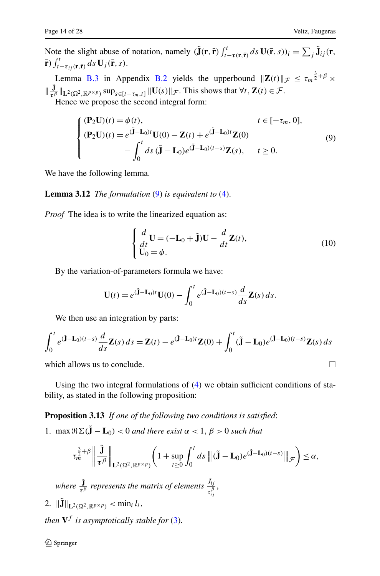Note the slight abuse of notation, namely  $(\tilde{\mathbf{J}}(\mathbf{r}, \tilde{\mathbf{r}})) \int_{t-\tau(\mathbf{r}, \tilde{\mathbf{r}})}^t ds \mathbf{U}(\tilde{\mathbf{r}}, s) = \sum_j \tilde{\mathbf{J}}_{ij}(\mathbf{r}, \tilde{\mathbf{r}})$  $\bar{\mathbf{r}}$ )  $\int_{t-\tau_{ij}(\mathbf{r},\bar{\mathbf{r}})}^t ds \mathbf{U}_j(\bar{\mathbf{r}},s)$ .

Lemma [B.3](#page-24-1) in Appendix [B.2](#page-24-2) yields the upperbound  $||\mathbf{Z}(t)||_{\mathcal{F}} \le \tau_m^{\frac{3}{2} + \beta} \times$  $\|\frac{\mathbf{J}}{\boldsymbol{\tau}^{\beta}}\|_{\mathbf{L}^2(\Omega^2,\mathbb{R}^{p\times p})}$ sup<sub>*s*∈[*t*−*τm,t*]  $\|\mathbf{U}(s)\|_{\mathcal{F}}$ . This shows that  $\forall t$ ,  $\mathbf{Z}(t) \in \mathcal{F}$ .</sub> Hence we propose the second integral form:

> <span id="page-13-1"></span> $\sqrt{ }$  $\sqrt{2}$  $\sqrt{ }$  $(tP_2U)(t) = \phi(t),$   $t \in [-\tau_m, 0],$  $(\mathbf{P}_2 \mathbf{U})(t) = e^{(\mathbf{J} - \mathbf{L}_0)t} \mathbf{U}(0) - \mathbf{Z}(t) + e^{(\mathbf{J} - \mathbf{L}_0)t} \mathbf{Z}(0)$ −  $\int_0^t$  $\int_0^{\pi} ds \, (\tilde{\mathbf{J}} - \mathbf{L}_0) e^{(\mathbf{J} - \mathbf{L}_0)(t - s)} \mathbf{Z}(s), \quad t \ge 0.$ (9)

We have the following lemma.

**Lemma 3.12** *The formulation* ([9\)](#page-13-1) *is equivalent to* ([4\)](#page-6-1).

*Proof* The idea is to write the linearized equation as:

$$
\begin{cases}\n\frac{d}{dt}\mathbf{U} = (-\mathbf{L}_0 + \tilde{\mathbf{J}})\mathbf{U} - \frac{d}{dt}\mathbf{Z}(t),\\
\mathbf{U}_0 = \phi.\n\end{cases}
$$
\n(10)

By the variation-of-parameters formula we have:

$$
\mathbf{U}(t) = e^{(\tilde{\mathbf{J}} - \mathbf{L}_0)t} \mathbf{U}(0) - \int_0^t e^{(\tilde{\mathbf{J}} - \mathbf{L}_0)(t-s)} \frac{d}{ds} \mathbf{Z}(s) ds.
$$

We then use an integration by parts:

<span id="page-13-0"></span>
$$
\int_0^t e^{(\tilde{\mathbf{J}}-\mathbf{L}_0)(t-s)} \frac{d}{ds} \mathbf{Z}(s) ds = \mathbf{Z}(t) - e^{(\tilde{\mathbf{J}}-\mathbf{L}_0)t} \mathbf{Z}(0) + \int_0^t (\tilde{\mathbf{J}}-\mathbf{L}_0) e^{(\tilde{\mathbf{J}}-\mathbf{L}_0)(t-s)} \mathbf{Z}(s) ds
$$

which allows us to conclude.  $\Box$ 

Using the two integral formulations of  $(4)$  $(4)$  we obtain sufficient conditions of stability, as stated in the following proposition:

**Proposition 3.13** *If one of the following two conditions is satisfied*:

1. max  $\Re \Sigma(\tilde{\mathbf{J}} - \mathbf{L}_0) < 0$  *and there exist*  $\alpha < 1, \beta > 0$  *such that* 

$$
\tau_m^{\frac{3}{2}+\beta}\bigg\|\frac{\tilde{\mathbf{J}}}{\tau^{\beta}}\bigg\|_{\mathbf{L}^2(\Omega^2,\mathbb{R}^{p\times p})}\bigg(1+\sup_{t\geq 0}\int_0^t ds\,\big\|(\tilde{\mathbf{J}}-\mathbf{L}_0)e^{(\tilde{\mathbf{J}}-\mathbf{L}_0)(t-s)}\big\|_{\mathcal{F}}\bigg)\leq \alpha,
$$

where  $\frac{\tilde{\mathbf{J}}}{\tau_{ij}^{\beta}}$  *represents the matrix of elements*  $\frac{J_{ij}}{\tau_{ij}^{\beta}}$ ,

2.  $\|\mathbf{J}\|_{\mathbf{L}^2(\Omega^2, \mathbb{R}^{p \times p})} < \min_i l_i,$ 

*then*  $V^f$  *is asymptotically stable for* ([3\)](#page-3-0).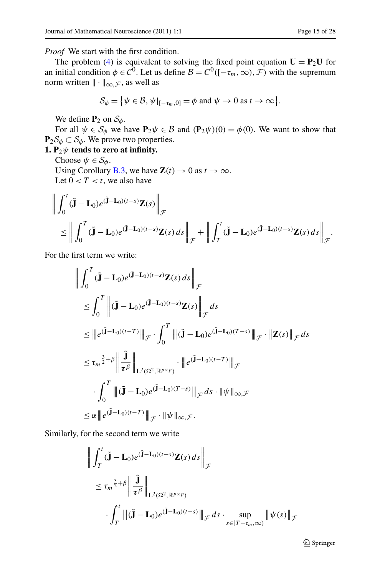*Proof* We start with the first condition.

The problem ([4\)](#page-6-1) is equivalent to solving the fixed point equation  $\mathbf{U} = \mathbf{P}_2 \mathbf{U}$  for an initial condition  $\phi \in C^0$ . Let us define  $B = C^0([-\tau_m,\infty), \mathcal{F})$  with the supremum norm written  $\|\cdot\|_{\infty,\mathcal{F}}$ , as well as

$$
\mathcal{S}_{\phi} = \{ \psi \in \mathcal{B}, \psi \vert_{[-\tau_m, 0]} = \phi \text{ and } \psi \to 0 \text{ as } t \to \infty \}.
$$

We define  $P_2$  on  $S_\phi$ .

For all  $\psi \in S_\phi$  we have  $P_2\psi \in B$  and  $(P_2\psi)(0) = \phi(0)$ . We want to show that  $\mathbf{P}_2\mathcal{S}_{\phi} \subset \mathcal{S}_{\phi}$ . We prove two properties.

## **1.**  $P_2\psi$  **tends to zero at infinity.**

Choose  $\psi \in \mathcal{S}_{\phi}$ .

Using Corollary [B.3,](#page-24-1) we have  $\mathbf{Z}(t) \to 0$  as  $t \to \infty$ . Let  $0 < T < t$ , we also have

$$
\left\| \int_0^t (\tilde{\mathbf{J}} - \mathbf{L}_0) e^{(\tilde{\mathbf{J}} - \mathbf{L}_0)(t-s)} \mathbf{Z}(s) \right\|_{\mathcal{F}} \n\leq \left\| \int_0^T (\tilde{\mathbf{J}} - \mathbf{L}_0) e^{(\tilde{\mathbf{J}} - \mathbf{L}_0)(t-s)} \mathbf{Z}(s) ds \right\|_{\mathcal{F}} + \left\| \int_T^t (\tilde{\mathbf{J}} - \mathbf{L}_0) e^{(\tilde{\mathbf{J}} - \mathbf{L}_0)(t-s)} \mathbf{Z}(s) ds \right\|_{\mathcal{F}}.
$$

For the first term we write:

$$
\left\| \int_0^T (\tilde{\mathbf{J}} - \mathbf{L}_0) e^{(\tilde{\mathbf{J}} - \mathbf{L}_0)(t-s)} \mathbf{Z}(s) ds \right\|_{\mathcal{F}}
$$
\n
$$
\leq \int_0^T \left\| (\tilde{\mathbf{J}} - \mathbf{L}_0) e^{(\tilde{\mathbf{J}} - \mathbf{L}_0)(t-s)} \mathbf{Z}(s) \right\|_{\mathcal{F}} ds
$$
\n
$$
\leq \| e^{(\tilde{\mathbf{J}} - \mathbf{L}_0)(t-T)} \|_{\mathcal{F}} \cdot \int_0^T \| (\tilde{\mathbf{J}} - \mathbf{L}_0) e^{(\tilde{\mathbf{J}} - \mathbf{L}_0)(T-s)} \|_{\mathcal{F}} \cdot \| \mathbf{Z}(s) \|_{\mathcal{F}} ds
$$
\n
$$
\leq \tau_m^{\frac{3}{2} + \beta} \left\| \frac{\tilde{\mathbf{J}}}{\tau^{\beta}} \right\|_{\mathbf{L}^2(\Omega^2, \mathbb{R}^{p \times p})} \cdot \| e^{(\tilde{\mathbf{J}} - \mathbf{L}_0)(t-T)} \|_{\mathcal{F}}
$$
\n
$$
\cdot \int_0^T \| (\tilde{\mathbf{J}} - \mathbf{L}_0) e^{(\tilde{\mathbf{J}} - \mathbf{L}_0)(T-s)} \|_{\mathcal{F}} ds \cdot \| \psi \|_{\infty, \mathcal{F}}
$$
\n
$$
\leq \alpha \| e^{(\tilde{\mathbf{J}} - \mathbf{L}_0)(t-T)} \|_{\mathcal{F}} \cdot \| \psi \|_{\infty, \mathcal{F}}.
$$

Similarly, for the second term we write

$$
\left\| \int_{T}^{t} (\tilde{\mathbf{J}} - \mathbf{L}_{0}) e^{(\tilde{\mathbf{J}} - \mathbf{L}_{0})(t-s)} \mathbf{Z}(s) ds \right\|_{\mathcal{F}}
$$
  
\n
$$
\leq \tau_{m}^{\frac{3}{2} + \beta} \left\| \frac{\tilde{\mathbf{J}}}{\tau^{\beta}} \right\|_{\mathbf{L}^{2}(\Omega^{2}, \mathbb{R}^{p \times p})}
$$
  
\n
$$
\cdot \int_{T}^{t} \left\| (\tilde{\mathbf{J}} - \mathbf{L}_{0}) e^{(\tilde{\mathbf{J}} - \mathbf{L}_{0})(t-s)} \right\|_{\mathcal{F}} ds \cdot \sup_{s \in [T - \tau_{m}, \infty)} \left\| \psi(s) \right\|_{\mathcal{F}}
$$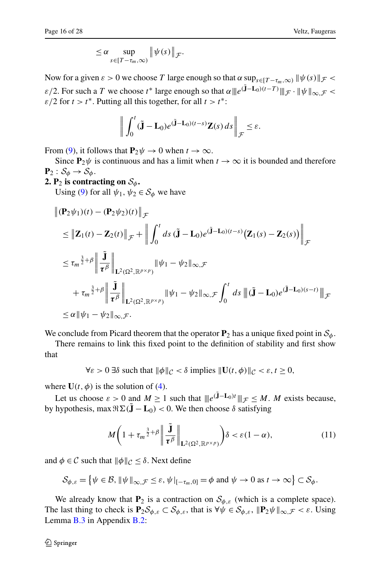$$
\leq \alpha \sup_{s \in [T-\tau_m,\infty)} \|\psi(s)\|_{\mathcal{F}}.
$$

Now for a given  $\varepsilon > 0$  we choose *T* large enough so that  $\alpha \sup_{s \in [T - \tau_m, \infty)} ||\psi(s)||_{\mathcal{F}}$ *ε/*2. For such a *T* we choose  $t^*$  large enough so that  $\alpha ||e^{(\mathbf{\tilde{J}}-\mathbf{L_0})(t-T)}||_{\mathcal{F}} \cdot ||\psi||_{\infty} \neq \infty$  $\varepsilon/2$  for  $t > t^*$ . Putting all this together, for all  $t > t^*$ :

$$
\bigg\| \int_0^t (\tilde{\mathbf{J}} - \mathbf{L}_0) e^{(\tilde{\mathbf{J}} - \mathbf{L}_0)(t-s)} \mathbf{Z}(s) ds \bigg\|_{\mathcal{F}} \leq \varepsilon.
$$

From [\(9](#page-13-1)), it follows that  $P_2\psi \to 0$  when  $t \to \infty$ .

Since  $P_2\psi$  is continuous and has a limit when  $t \to \infty$  it is bounded and therefore  $\mathbf{P}_2: \mathcal{S}_{\phi} \to \mathcal{S}_{\phi}.$ 

**2. P**<sub>2</sub> is contracting on  $S_{\phi}$ .

Using [\(9](#page-13-1)) for all  $\psi_1, \psi_2 \in S_\phi$  we have

$$
\begin{aligned}\n\| (\mathbf{P}_2 \psi_1)(t) - (\mathbf{P}_2 \psi_2)(t) \|_{\mathcal{F}} \\
&\leq \| \mathbf{Z}_1(t) - \mathbf{Z}_2(t) \|_{\mathcal{F}} + \left\| \int_0^t ds \, (\tilde{\mathbf{J}} - \mathbf{L}_0) e^{(\tilde{\mathbf{J}} - \mathbf{L}_0)(t - s)} (\mathbf{Z}_1(s) - \mathbf{Z}_2(s)) \right\|_{\mathcal{F}} \\
&\leq \tau_m^{\frac{3}{2} + \beta} \left\| \frac{\tilde{\mathbf{J}}}{\tau^{\beta}} \right\|_{\mathbf{L}^2(\Omega^2, \mathbb{R}^{p \times p})} \|\psi_1 - \psi_2\|_{\infty, \mathcal{F}} \\
&\quad + \tau_m^{\frac{3}{2} + \beta} \left\| \frac{\tilde{\mathbf{J}}}{\tau^{\beta}} \right\|_{\mathbf{L}^2(\Omega^2, \mathbb{R}^{p \times p})} \|\psi_1 - \psi_2\|_{\infty, \mathcal{F}} \int_0^t ds \, \left\| (\tilde{\mathbf{J}} - \mathbf{L}_0) e^{(\tilde{\mathbf{J}} - \mathbf{L}_0)(s - t)} \right\|_{\mathcal{F}} \\
&\leq \alpha \|\psi_1 - \psi_2\|_{\infty, \mathcal{F}}.\n\end{aligned}
$$

We conclude from Picard theorem that the operator  $P_2$  has a unique fixed point in  $S_\phi$ .

There remains to link this fixed point to the definition of stability and first show that

 $\forall \varepsilon > 0$   $\exists \delta$  such that  $\|\phi\|_{\mathcal{C}} < \delta$  implies  $\|\mathbf{U}(t, \phi)\|_{\mathcal{C}} < \varepsilon, t \geq 0$ ,

where  $U(t, \phi)$  is the solution of ([4\)](#page-6-1).

Let us choose  $\varepsilon > 0$  and  $M \ge 1$  such that  $||e^{(\tilde{\mathbf{J}} - \mathbf{L}_0)t}||_{\mathcal{F}} \le M$ . *M* exists because, by hypothesis, max  $\Re \Sigma$ (**J** − **L**<sub>0</sub>) < 0. We then choose *δ* satisfying

<span id="page-15-0"></span>
$$
M\left(1+\tau_m^{\frac{3}{2}+\beta}\bigg\|\frac{\tilde{\mathbf{J}}}{\tau^{\beta}}\bigg\|_{\mathbf{L}^2(\Omega^2,\mathbb{R}^{p\times p})}\right)\delta<\varepsilon(1-\alpha),\tag{11}
$$

and  $\phi \in \mathcal{C}$  such that  $\|\phi\|_{\mathcal{C}} \leq \delta$ . Next define

$$
\mathcal{S}_{\phi,\varepsilon} = \left\{ \psi \in \mathcal{B}, \|\psi\|_{\infty,\mathcal{F}} \leq \varepsilon, \|\psi|_{[-\tau_m,0]} = \phi \text{ and } \psi \to 0 \text{ as } t \to \infty \right\} \subset \mathcal{S}_{\phi}.
$$

We already know that  $P_2$  is a contraction on  $S_{\phi,\varepsilon}$  (which is a complete space). The last thing to check is  $\mathbf{P}_2\mathcal{S}_{\phi,\varepsilon} \subset \mathcal{S}_{\phi,\varepsilon}$ , that is  $\forall \psi \in \mathcal{S}_{\phi,\varepsilon}$ ,  $\|\mathbf{P}_2\psi\|_{\infty,\mathcal{F}} < \varepsilon$ . Using Lemma [B.3](#page-24-1) in Appendix [B.2](#page-24-2):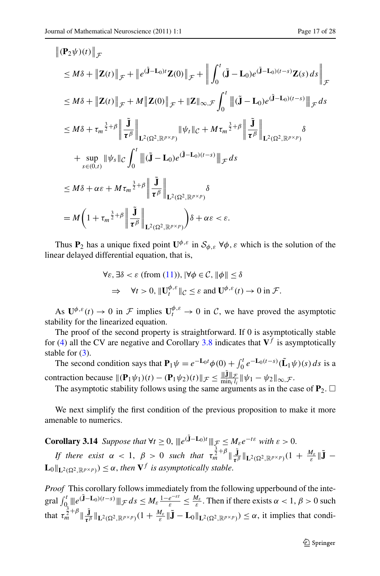$\parallel$ 

$$
\|(\mathbf{P}_{2}\psi)(t)\|_{\mathcal{F}}\leq M\delta + \|\mathbf{Z}(t)\|_{\mathcal{F}} + \|e^{(\tilde{\mathbf{J}}-\mathbf{L}_{0})t}\mathbf{Z}(0)\|_{\mathcal{F}} + \left\|\int_{0}^{t}(\tilde{\mathbf{J}}-\mathbf{L}_{0})e^{(\tilde{\mathbf{J}}-\mathbf{L}_{0})(t-s)}\mathbf{Z}(s) ds\right\|_{\mathcal{F}}
$$
  
\n
$$
\leq M\delta + \|\mathbf{Z}(t)\|_{\mathcal{F}} + M\|\mathbf{Z}(0)\|_{\mathcal{F}} + \|\mathbf{Z}\|_{\infty,\mathcal{F}} \int_{0}^{t} \left\|(\tilde{\mathbf{J}}-\mathbf{L}_{0})e^{(\tilde{\mathbf{J}}-\mathbf{L}_{0})(t-s)}\right\|_{\mathcal{F}} ds
$$
  
\n
$$
\leq M\delta + \tau_{m}^{\frac{3}{2}+\beta} \left\|\frac{\tilde{\mathbf{J}}}{\tau^{\beta}}\right\|_{\mathbf{L}^{2}(\Omega^{2},\mathbb{R}^{p\times p})} \|\psi_{t}\|_{\mathcal{C}} + M\tau_{m}^{\frac{3}{2}+\beta} \left\|\frac{\tilde{\mathbf{J}}}{\tau^{\beta}}\right\|_{\mathbf{L}^{2}(\Omega^{2},\mathbb{R}^{p\times p})} \delta
$$
  
\n
$$
+ \sup_{s\in(0,t)} \|\psi_{s}\|_{\mathcal{C}} \int_{0}^{t} \left\|(\tilde{\mathbf{J}}-\mathbf{L}_{0})e^{(\tilde{\mathbf{J}}-\mathbf{L}_{0})(t-s)}\right\|_{\mathcal{F}} ds
$$
  
\n
$$
\leq M\delta + \alpha\varepsilon + M\tau_{m}^{\frac{3}{2}+\beta} \left\|\frac{\tilde{\mathbf{J}}}{\tau^{\beta}}\right\|_{\mathbf{L}^{2}(\Omega^{2},\mathbb{R}^{p\times p})} \delta
$$
  
\n
$$
= M\left(1 + \tau_{m}^{\frac{3}{2}+\beta} \left\|\frac{\tilde{\mathbf{J}}}{\tau^{\beta}}\right\|_{\mathbf{L}^{2}(\Omega^{2},\mathbb{R}^{p\times p})} \delta + \alpha\varepsilon & \vare
$$

Thus **P**<sub>2</sub> has a unique fixed point  $\mathbf{U}^{\phi, \varepsilon}$  in  $\mathcal{S}_{\phi, \varepsilon}$   $\forall \phi, \varepsilon$  which is the solution of the linear delayed differential equation, that is,

$$
\forall \varepsilon, \exists \delta < \varepsilon \text{ (from (11)), } |\forall \phi \in \mathcal{C}, \|\phi\| \le \delta
$$
\n
$$
\Rightarrow \forall t > 0, \|\mathbf{U}_t^{\phi,\varepsilon}\|_{\mathcal{C}} \le \varepsilon \text{ and } \mathbf{U}^{\phi,\varepsilon}(t) \to 0 \text{ in } \mathcal{F}.
$$

As  $\mathbf{U}^{\phi,\varepsilon}(t) \to 0$  in  $\mathcal{F}$  implies  $\mathbf{U}^{\phi,\varepsilon}_t \to 0$  in  $\mathcal{C}$ , we have proved the asymptotic stability for the linearized equation.

The proof of the second property is straightforward. If 0 is asymptotically stable for [\(4](#page-6-1)) all the CV are negative and Corollary [3.8](#page-10-1) indicates that  $V^f$  is asymptotically stable for  $(3)$  $(3)$ .

<span id="page-16-0"></span>The second condition says that  $\mathbf{P}_1 \psi = e^{-\mathbf{L}_0 t} \phi(0) + \int_0^t e^{-\mathbf{L}_0(t-s)} (\tilde{\mathbf{L}}_1 \psi)(s) ds$  is a contraction because  $\|(\mathbf{P}_1 \psi_1)(t) - (\mathbf{P}_1 \psi_2)(t)\|_{\mathcal{F}} \le \frac{\|\mathbf{J}\|_{\mathcal{F}}}{\min_i l_i} \|\psi_1 - \psi_2\|_{\infty, \mathcal{F}}$ .

The asymptotic stability follows using the same arguments as in the case of  $P_2$ .  $\Box$ 

We next simplify the first condition of the previous proposition to make it more amenable to numerics.

**Corollary 3.14** *Suppose that*  $\forall t \geq 0$ ,  $\|e^{(\tilde{\mathbf{J}}-\mathbf{L}_0)t}\|_{\mathcal{F}} \leq M_{\varepsilon}e^{-t\varepsilon}$  *with*  $\varepsilon > 0$ . *If there exist*  $\alpha < 1$ ,  $\beta > 0$  *such that*  $\tau_m^{\frac{3}{2}+\beta} \|_{\mathbf{L}^2(\Omega^2, \mathbb{R}^{p \times p})} (1 + \frac{M_{\varepsilon}}{\varepsilon} \| \mathbf{\tilde{J}} \mathbf{L}_0 \Vert_{\mathbf{L}^2(\Omega^2, \mathbb{R}^{p \times p})} \leq \alpha$ , then  $\mathbf{V}^f$  is asymptotically stable.

*Proof* This corollary follows immediately from the following upperbound of the inte- $\text{grad } \int_0^t \|\theta^{(\tilde{\mathbf{J}}-\mathbf{L}_0)(t-s)}\|_{\mathcal{F}} ds \leq M_\varepsilon \frac{1-e^{-\varepsilon t}}{\varepsilon} \leq \frac{M_\varepsilon}{\varepsilon}.$  Then if there exists  $\alpha < 1, \beta > 0$  such that  $\tau_m^{\frac{3}{2}+\beta}$   $\|\mathbf{J}\|_{\mathbf{L}^2(\Omega^2,\mathbb{R}^{p\times p})}(1+\frac{M_{\varepsilon}}{\varepsilon}\|\tilde{\mathbf{J}}-\mathbf{L}_0\|_{\mathbf{L}^2(\Omega^2,\mathbb{R}^{p\times p})}) \leq \alpha$ , it implies that condi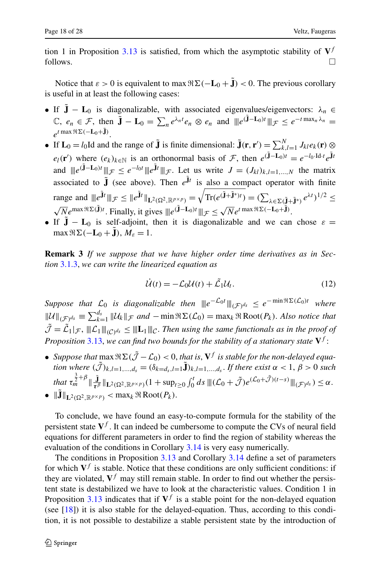tion 1 in Proposition [3.13](#page-13-0) is satisfied, from which the asymptotic stability of  $V<sup>f</sup>$ follows.  $\Box$ 

Notice that  $\varepsilon > 0$  is equivalent to max  $\Re \Sigma(-\mathbf{L}_0 + \tilde{\mathbf{J}}) < 0$ . The previous corollary is useful in at least the following cases:

- If  $\tilde{J} L_0$  is diagonalizable, with associated eigenvalues/eigenvectors:  $\lambda_n \in$  $\mathbb{C}, e_n \in \mathcal{F}, \text{ then } \tilde{\mathbf{J}} - \mathbf{L}_0 = \sum_n e^{\lambda_n t} e_n \otimes e_n \text{ and } ||e^{(\mathbf{J} - \mathbf{L}_0)t}||_{\mathcal{F}} \leq e^{-t \max_n \lambda_n} =$  $e^{t \max \Re \Sigma (-\mathbf{L}_0 + \mathbf{J})}$ .
- If  $\mathbf{L}_0 = l_0 \text{Id}$  and the range of  $\tilde{\mathbf{J}}$  is finite dimensional:  $\tilde{\mathbf{J}}(\mathbf{r}, \mathbf{r}') = \sum_{k,l=1}^{N} J_{kl} e_k(\mathbf{r}) \otimes \mathbf{J}_l$  $e_l(\mathbf{r}')$  where  $(e_k)_{k \in \mathbb{N}}$  is an orthonormal basis of  $\mathcal{F}$ , then  $e^{(\mathbf{J} - \mathbf{L}_0)t} = e^{-l_0 \cdot \text{Id} \cdot t} e^{\mathbf{J}t}$ and  $||e^{(\mathbf{J}-\mathbf{L}_0)t}||_{\mathcal{F}} \leq e^{-l_0t}||e^{\mathbf{J}t}||_{\mathcal{F}}$ . Let us write  $J = (J_{kl})_{k,l=1,\dots,N}$  the matrix associated to  $\tilde{J}$  (see above). Then  $e^{\tilde{J}t}$  is also a compact operator with finite range and  $||e^{\mathbf{J}t}|| \mathcal{F} \leq ||e^{\mathbf{J}t}||_{\mathbf{L}^2(\Omega^2, \mathbb{R}^{p \times p})}$  =  $\sqrt{\text{Tr}(e^{(\tilde{\mathbf{J}}+\tilde{\mathbf{J}}^*)t})} = (\sum_{\lambda \in \Sigma(\tilde{\mathbf{J}}+\tilde{\mathbf{J}}^*)} e^{\lambda t})^{1/2} \leq$  $\sqrt{N}e^{\max \Re\Sigma(\mathbf{\tilde{J}})t}$ . Finally, it gives  $\|\mathbf{e}^{(\mathbf{\tilde{J}}-\mathbf{L}_0)t}\|_{\mathcal{F}} \leq \sqrt{N}e^{t \max \Re\Sigma(-\mathbf{L}_0+\mathbf{\tilde{J}})}$ .
- If  $\mathbf{J} \mathbf{L}_0$  is self-adjoint, then it is diagonalizable and we can chose  $\varepsilon =$  $\max \Re \Sigma(-\mathbf{L}_0 + \mathbf{J})$ ,  $M_{\varepsilon} = 1$ .

**Remark 3** *If we suppose that we have higher order time derivatives as in Section* [3.1.3,](#page-11-0) *we can write the linearized equation as*

$$
\dot{\mathcal{U}}(t) = -\mathcal{L}_0 \mathcal{U}(t) + \tilde{\mathcal{L}}_1 \mathcal{U}_t.
$$
\n(12)

*Suppose that*  $\mathcal{L}_0$  *is diagonalizable then*  $||e^{-\mathcal{L}_0 t}||_{(\mathcal{F})^{d_s}} \le e^{-\min \Re \Sigma(\mathcal{L}_0)t}$  where  $||\mathcal{U}||$ <sub>*(F*)</sub><sup>*d<sub>s</sub>* ≡  $\sum_{k=1}^{d_s}$  ||*U*<sub>k</sub>||*F and* −min  $\Re \Sigma(\mathcal{L}_0)$  = max<sub>k</sub>  $\Re$  Root(*P<sub>k</sub>*). *Also notice that*</sup>  $\mathcal{J} = \mathcal{L}_1 |_{\mathcal{F}}$ ,  $\|\mathcal{L}_1\|_{(C)^{d_s}} \leq \|\mathbf{L}_1\|_{C}$ . Then using the same functionals as in the proof of *Proposition* [3.13](#page-13-0), *we can find two bounds for the stability of a stationary state* **V***<sup>f</sup>* :

- *Suppose that*  $\max \Re \Sigma(\tilde{\mathcal{J}} \mathcal{L}_0) < 0$ , *that is*,  $V^f$  *is stable for the non-delayed equation where*  $(\tilde{J})_{k,l=1,...,d_s} = (\delta_{k=d_s,l=1} \tilde{J})_{k,l=1,...,d_s}$ . If there exist  $\alpha < 1, \beta > 0$  *such*  $\lim_{\sim} t_m^{\frac{3}{2}+\beta} \|\frac{\mathbf{j}}{\tau^{\beta}}\|_{\mathbf{L}^2(\Omega^2,\mathbb{R}^{p\times p})}(1+\sup_{t\geq 0} \int_0^t ds\, \|(C_0+\tilde{\mathcal{J}}) e^{(\mathcal{L}_0+\tilde{\mathcal{J}})(t-s)}\|_{(\mathcal{F})^{d_s}}) \leq \alpha.$
- $\|\mathbf{J}\|_{\mathbf{L}^2(\Omega^2,\mathbb{R}^{p\times p})} < \max_k \Re \text{Root}(P_k).$

To conclude, we have found an easy-to-compute formula for the stability of the persistent state  $V<sup>f</sup>$ . It can indeed be cumbersome to compute the CVs of neural field equations for different parameters in order to find the region of stability whereas the evaluation of the conditions in Corollary [3.14](#page-16-0) is very easy numerically.

The conditions in Proposition [3.13](#page-13-0) and Corollary [3.14](#page-16-0) define a set of parameters for which  $V<sup>f</sup>$  is stable. Notice that these conditions are only sufficient conditions: if they are violated,  $V<sup>f</sup>$  may still remain stable. In order to find out whether the persistent state is destabilized we have to look at the characteristic values. Condition 1 in Proposition [3.13](#page-13-0) indicates that if  $V^f$  is a stable point for the non-delayed equation (see [[18\]](#page-26-24)) it is also stable for the delayed-equation. Thus, according to this condition, it is not possible to destabilize a stable persistent state by the introduction of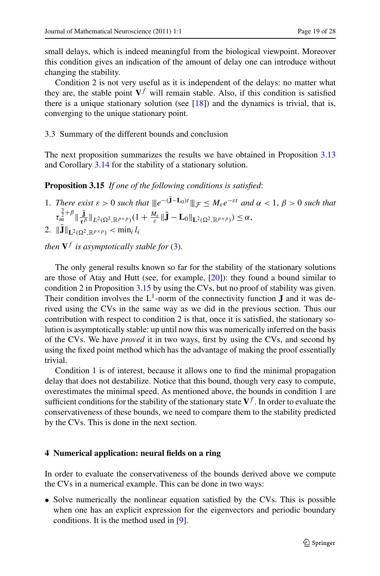small delays, which is indeed meaningful from the biological viewpoint. Moreover this condition gives an indication of the amount of delay one can introduce without changing the stability.

<span id="page-18-2"></span><span id="page-18-1"></span>Condition 2 is not very useful as it is independent of the delays: no matter what they are, the stable point  $V^f$  will remain stable. Also, if this condition is satisfied there is a unique stationary solution (see  $[18]$  $[18]$ ) and the dynamics is trivial, that is, converging to the unique stationary point.

3.3 Summary of the different bounds and conclusion

The next proposition summarizes the results we have obtained in Proposition [3.13](#page-13-0) and Corollary [3.14](#page-16-0) for the stability of a stationary solution.

**Proposition 3.15** *If one of the following conditions is satisfied*:

- 1. *There exist*  $\varepsilon > 0$  *such that*  $||e^{-(\tilde{\mathbf{J}} \mathbf{L}_0)t}||_{\mathcal{F}} \leq M_{\varepsilon}e^{-\varepsilon t}$  *and*  $\alpha < 1, \beta > 0$  *such that*  $\tau_m^{\frac{3}{2}+\beta}\|\frac{\mathbf{j}}{\tau^{\beta}}\|_{L^2(\Omega^2,\mathbb{R}^{p\times p})}(1+\frac{M_{\varepsilon}}{\varepsilon}\|\mathbf{j}-\mathbf{L}_0\|_{\mathbf{L}^2(\Omega^2,\mathbb{R}^{p\times p})})\leq\alpha,$
- 2.  $\|\mathbf{J}\|_{\mathbf{L}^2(\Omega^2,\mathbb{R}^{p\times p})} < \min_i l_i$

*then*  $V^f$  *is asymptotically stable for* ([3\)](#page-3-0).

The only general results known so far for the stability of the stationary solutions are those of Atay and Hutt (see, for example, [\[20](#page-26-18)]): they found a bound similar to condition 2 in Proposition [3.15](#page-18-1) by using the CVs, but no proof of stability was given. Their condition involves the  $L^1$ -norm of the connectivity function **J** and it was derived using the CVs in the same way as we did in the previous section. Thus our contribution with respect to condition 2 is that, once it is satisfied, the stationary solution is asymptotically stable: up until now this was numerically inferred on the basis of the CVs. We have *proved* it in two ways, first by using the CVs, and second by using the fixed point method which has the advantage of making the proof essentially trivial.

<span id="page-18-0"></span>Condition 1 is of interest, because it allows one to find the minimal propagation delay that does not destabilize. Notice that this bound, though very easy to compute, overestimates the minimal speed. As mentioned above, the bounds in condition 1 are sufficient conditions for the stability of the stationary state  $V<sup>f</sup>$ . In order to evaluate the conservativeness of these bounds, we need to compare them to the stability predicted by the CVs. This is done in the next section.

## **4 Numerical application: neural fields on a ring**

In order to evaluate the conservativeness of the bounds derived above we compute the CVs in a numerical example. This can be done in two ways:

• Solve numerically the nonlinear equation satisfied by the CVs. This is possible when one has an explicit expression for the eigenvectors and periodic boundary conditions. It is the method used in [\[9](#page-26-8)].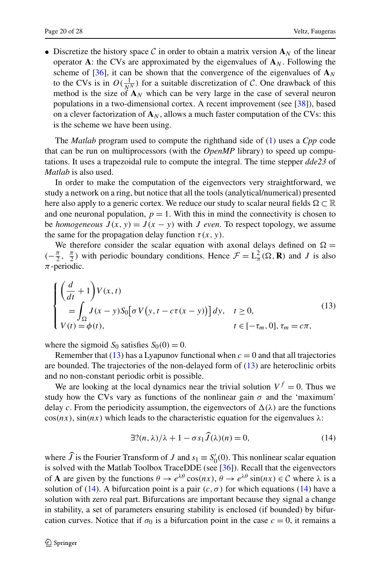• Discretize the history space C in order to obtain a matrix version  $A_N$  of the linear operator **A**: the CVs are approximated by the eigenvalues of  $\mathbf{A}_N$ . Following the scheme of [\[36](#page-27-8)], it can be shown that the convergence of the eigenvalues of  $\mathbf{A}_N$ to the CVs is in  $O(\frac{1}{N^N})$  for a suitable discretization of C. One drawback of this method is the size of  $\mathbf{A}_N$  which can be very large in the case of several neuron populations in a two-dimensional cortex. A recent improvement (see [[38\]](#page-27-10)), based on a clever factorization of  $\mathbf{A}_N$ , allows a much faster computation of the CVs: this is the scheme we have been using.

The *Matlab* program used to compute the righthand side of ([1\)](#page-2-0) uses a *Cpp* code that can be run on multiprocessors (with the *OpenMP* library) to speed up computations. It uses a trapezoidal rule to compute the integral. The time stepper *dde23* of *Matlab* is also used.

In order to make the computation of the eigenvectors very straightforward, we study a network on a ring, but notice that all the tools (analytical/numerical) presented here also apply to a generic cortex. We reduce our study to scalar neural fields  $\Omega \subset \mathbb{R}$ and one neuronal population,  $p = 1$ . With this in mind the connectivity is chosen to be *homogeneous*  $J(x, y) = J(x - y)$  with *J even*. To respect topology, we assume the same for the propagation delay function  $\tau(x, y)$ .

We therefore consider the scalar equation with axonal delays defined on  $\Omega =$  $(-\frac{\pi}{2}, \frac{\pi}{2})$  with periodic boundary conditions. Hence  $\mathcal{F} = L^2_{\pi}(\Omega, \mathbf{R})$  and *J* is also *π*-periodic.

<span id="page-19-0"></span>
$$
\begin{cases}\n\left(\frac{d}{dt} + 1\right) V(x, t) \\
= \int_{\Omega} J(x - y) S_0 \left[\sigma V\left(y, t - c\tau(x - y)\right)\right] dy, \quad t \ge 0, \\
V(t) = \phi(t), \qquad t \in [-\tau_m, 0], \tau_m = c\pi,\n\end{cases}
$$
\n(13)

where the sigmoid  $S_0$  satisfies  $S_0(0) = 0$ .

Remember that  $(13)$  $(13)$  has a Lyapunov functional when  $c = 0$  and that all trajectories are bounded. The trajectories of the non-delayed form of [\(13](#page-19-0)) are heteroclinic orbits and no non-constant periodic orbit is possible.

We are looking at the local dynamics near the trivial solution  $V^f = 0$ . Thus we study how the CVs vary as functions of the nonlinear gain  $\sigma$  and the 'maximum' delay *c*. From the periodicity assumption, the eigenvectors of  $\Delta(\lambda)$  are the functions  $\cos(nx)$ ,  $\sin(nx)$  which leads to the characteristic equation for the eigenvalues  $\lambda$ :

<span id="page-19-1"></span>
$$
\exists ?(n,\lambda)/\lambda + 1 - \sigma s_1 \widehat{J}(\lambda)(n) = 0, \tag{14}
$$

where *J* is the Fourier Transform of *J* and  $s_1 \equiv S'_0(0)$ . This nonlinear scalar equation is solved with the Matlab Toolbox TraceDDE (see [\[36](#page-27-8)]). Recall that the eigenvectors of **A** are given by the functions  $\theta \to e^{\lambda \theta} \cos(nx)$ ,  $\theta \to e^{\lambda \theta} \sin(nx) \in C$  where  $\lambda$  is a solution of [\(14](#page-19-1)). A bifurcation point is a pair  $(c, \sigma)$  for which equations ([14\)](#page-19-1) have a solution with zero real part. Bifurcations are important because they signal a change in stability, a set of parameters ensuring stability is enclosed (if bounded) by bifurcation curves. Notice that if  $\sigma_0$  is a bifurcation point in the case  $c = 0$ , it remains a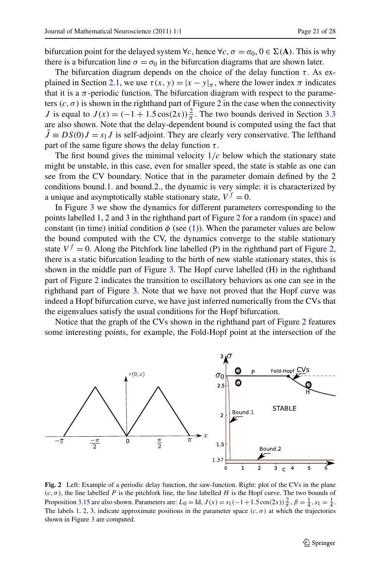bifurcation point for the delayed system  $\forall c$ , hence  $\forall c, \sigma = \sigma_0, 0 \in \Sigma(A)$ . This is why there is a bifurcation line  $\sigma = \sigma_0$  in the bifurcation diagrams that are shown later.

The bifurcation diagram depends on the choice of the delay function  $\tau$ . As ex-plained in Section [2.1](#page-3-1), we use  $\tau(x, y) = |x - y|_{\pi}$ , where the lower index  $\pi$  indicates that it is a  $\pi$ -periodic function. The bifurcation diagram with respect to the parameters  $(c, \sigma)$  is shown in the righthand part of Figure [2](#page-20-0) in the case when the connectivity *J* is equal to  $J(x) = (-1 + 1.5 \cos(2x)) \frac{2}{\pi}$ . The two bounds derived in Section [3.3](#page-18-2) are also shown. Note that the delay-dependent bound is computed using the fact that  $\tilde{J} \equiv DS(0)J = s_1J$  is self-adjoint. They are clearly very conservative. The lefthand part of the same figure shows the delay function  $\tau$ .

The first bound gives the minimal velocity  $1/c$  below which the stationary state might be unstable, in this case, even for smaller speed, the state is stable as one can see from the CV boundary. Notice that in the parameter domain defined by the 2 conditions bound.1. and bound.2., the dynamic is very simple: it is characterized by a unique and asymptotically stable stationary state,  $V^f = 0$ .

In Figure [3](#page-21-0) we show the dynamics for different parameters corresponding to the points labelled 1, 2 and 3 in the righthand part of Figure [2](#page-20-0) for a random (in space) and constant (in time) initial condition  $\phi$  (see ([1\)](#page-2-0)). When the parameter values are below the bound computed with the CV, the dynamics converge to the stable stationary state  $V^f = 0$ . Along the Pitchfork line labelled (P) in the righthand part of Figure [2](#page-20-0), there is a static bifurcation leading to the birth of new stable stationary states, this is shown in the middle part of Figure [3.](#page-21-0) The Hopf curve labelled (H) in the righthand part of Figure [2](#page-20-0) indicates the transition to oscillatory behaviors as one can see in the righthand part of Figure [3.](#page-21-0) Note that we have not proved that the Hopf curve was indeed a Hopf bifurcation curve, we have just inferred numerically from the CVs that the eigenvalues satisfy the usual conditions for the Hopf bifurcation.

Notice that the graph of the CVs shown in the righthand part of Figure [2](#page-20-0) features some interesting points, for example, the Fold-Hopf point at the intersection of the



<span id="page-20-0"></span>**Fig. 2** Left: Example of a periodic delay function, the saw-function. Right: plot of the CVs in the plane  $(c, \sigma)$ , the line labelled *P* is the pitchfork line, the line labelled *H* is the Hopf curve. The two bounds of Proposition [3.15](#page-18-1) are also shown. Parameters are:  $L_0 =$  Id,  $J(x) = s_1(-1 + 1.5 \cos(2x)) \frac{2}{\pi}, \beta = \frac{1}{4}, s_1 = \frac{1}{4}$ . The labels 1, 2, 3, indicate approximate positions in the parameter space  $(c, \sigma)$  at which the trajectories shown in Figure [3](#page-21-0) are computed.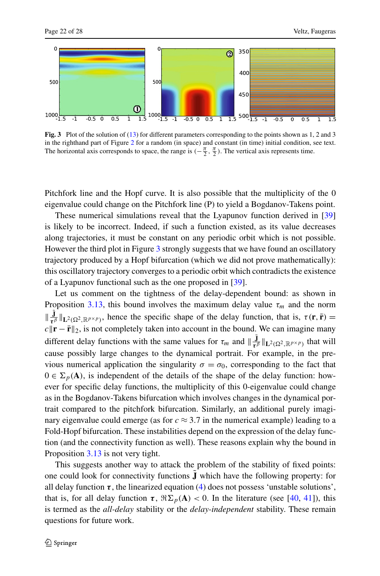<span id="page-21-0"></span>

**Fig. 3** Plot of the solution of ([13\)](#page-19-0) for different parameters corresponding to the points shown as 1, 2 and 3 in the righthand part of Figure [2](#page-20-0) for a random (in space) and constant (in time) initial condition, see text. The horizontal axis corresponds to space, the range is  $(-\frac{\pi}{2}, \frac{\pi}{2})$ . The vertical axis represents time.

Pitchfork line and the Hopf curve. It is also possible that the multiplicity of the 0 eigenvalue could change on the Pitchfork line (P) to yield a Bogdanov-Takens point.

These numerical simulations reveal that the Lyapunov function derived in [\[39](#page-27-11)] is likely to be incorrect. Indeed, if such a function existed, as its value decreases along trajectories, it must be constant on any periodic orbit which is not possible. However the third plot in Figure [3](#page-21-0) strongly suggests that we have found an oscillatory trajectory produced by a Hopf bifurcation (which we did not prove mathematically): this oscillatory trajectory converges to a periodic orbit which contradicts the existence of a Lyapunov functional such as the one proposed in [\[39](#page-27-11)].

Let us comment on the tightness of the delay-dependent bound: as shown in Proposition [3.13,](#page-13-0) this bound involves the maximum delay value  $\tau_m$  and the norm  $\|\frac{\mathbf{J}}{\boldsymbol{\tau}^{\beta}}\|_{\mathbf{L}^2(\Omega^2,\mathbb{R}^{p\times p})}$ , hence the specific shape of the delay function, that is,  $\tau(\mathbf{r},\bar{\mathbf{r}})$  =  $c \|\mathbf{r} - \bar{\mathbf{r}}\|_2$ , is not completely taken into account in the bound. We can imagine many different delay functions with the same values for  $\tau_m$  and  $\|\frac{J}{\tau^{\beta}}\|_{L^2(\Omega^2, \mathbb{R}^{p \times p})}$  that will cause possibly large changes to the dynamical portrait. For example, in the previous numerical application the singularity  $\sigma = \sigma_0$ , corresponding to the fact that  $0 \in \Sigma_p(A)$ , is independent of the details of the shape of the delay function: however for specific delay functions, the multiplicity of this 0-eigenvalue could change as in the Bogdanov-Takens bifurcation which involves changes in the dynamical portrait compared to the pitchfork bifurcation. Similarly, an additional purely imaginary eigenvalue could emerge (as for  $c \approx 3.7$  in the numerical example) leading to a Fold-Hopf bifurcation. These instabilities depend on the expression of the delay function (and the connectivity function as well). These reasons explain why the bound in Proposition [3.13](#page-13-0) is not very tight.

This suggests another way to attack the problem of the stability of fixed points: one could look for connectivity functions **J**˜ which have the following property: for all delay function  $\tau$ , the linearized equation ([4\)](#page-6-1) does not possess 'unstable solutions', that is, for all delay function  $\tau$ ,  $\Re \Sigma_p(A) < 0$ . In the literature (see [\[40](#page-27-12), [41](#page-27-13)]), this is termed as the *all-delay* stability or the *delay-independent* stability. These remain questions for future work.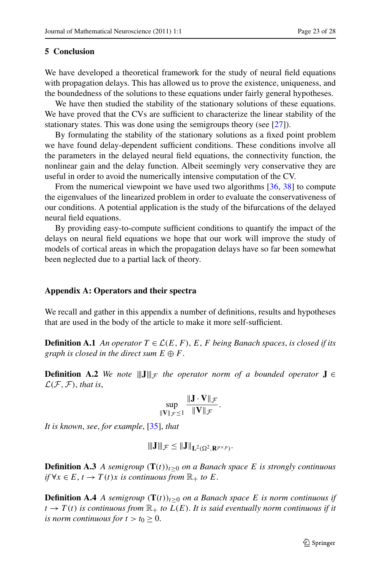#### **5 Conclusion**

We have developed a theoretical framework for the study of neural field equations with propagation delays. This has allowed us to prove the existence, uniqueness, and the boundedness of the solutions to these equations under fairly general hypotheses.

We have then studied the stability of the stationary solutions of these equations. We have proved that the CVs are sufficient to characterize the linear stability of the stationary states. This was done using the semigroups theory (see [[27\]](#page-26-23)).

By formulating the stability of the stationary solutions as a fixed point problem we have found delay-dependent sufficient conditions. These conditions involve all the parameters in the delayed neural field equations, the connectivity function, the nonlinear gain and the delay function. Albeit seemingly very conservative they are useful in order to avoid the numerically intensive computation of the CV.

From the numerical viewpoint we have used two algorithms [\[36](#page-27-8), [38](#page-27-10)] to compute the eigenvalues of the linearized problem in order to evaluate the conservativeness of our conditions. A potential application is the study of the bifurcations of the delayed neural field equations.

<span id="page-22-1"></span>By providing easy-to-compute sufficient conditions to quantify the impact of the delays on neural field equations we hope that our work will improve the study of models of cortical areas in which the propagation delays have so far been somewhat been neglected due to a partial lack of theory.

#### <span id="page-22-0"></span>**Appendix A: Operators and their spectra**

We recall and gather in this appendix a number of definitions, results and hypotheses that are used in the body of the article to make it more self-sufficient.

**Definition A.1** *An operator*  $T \in \mathcal{L}(E, F)$ , *E*, *F being Banach spaces, is closed if its graph is closed in the direct sum*  $E \oplus F$ *.* 

<span id="page-22-2"></span>**Definition A.2** *We note*  $\|\mathbf{J}\|_{\mathcal{F}}$  *the operator norm of a bounded operator* **J** ∈  $\mathcal{L}(\mathcal{F}, \mathcal{F})$ , *that is*,

$$
\sup_{\|\mathbf{V}\|_{\mathcal{F}}\leq 1}\frac{\|\mathbf{J}\cdot\mathbf{V}\|_{\mathcal{F}}}{\|\mathbf{V}\|_{\mathcal{F}}}.
$$

<span id="page-22-3"></span>*It is known*, *see*, *for example*, [\[35](#page-27-7)], *that*

$$
||\mathbf{J}||_{\mathcal{F}} \leq ||\mathbf{J}||_{\mathbf{L}^2(\Omega^2, \mathbf{R}^{p \times p})}.
$$

**Definition A.3** *A semigroup*  $(T(t))_{t>0}$  *on a Banach space E is strongly continuous if* ∀*x* ∈ *E*, *t* → *T*(*t*)*x is continuous from*  $\mathbb{R}_+$  *to E*.

**Definition A.4** *A semigroup*  $(T(t))_{t>0}$  *on a Banach space E is norm continuous if*  $t \to T(t)$  *is continuous from*  $\mathbb{R}_+$  *to*  $L(E)$ *. It is said eventually norm continuous if it is norm continuous for*  $t > t_0 \geq 0$ .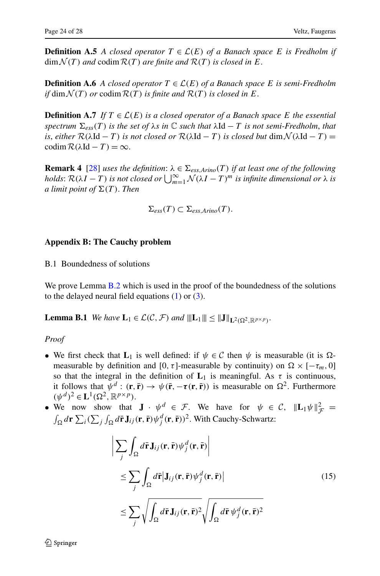<span id="page-23-1"></span>**Definition A.5** *A closed operator*  $T \in \mathcal{L}(E)$  *of a Banach space E is Fredholm if*  $\dim \mathcal{N}(T)$  *and* codim  $\mathcal{R}(T)$  *are finite and*  $\mathcal{R}(T)$  *is closed in E*.

**Definition A.6** *A closed operator*  $T \in \mathcal{L}(E)$  *of a Banach space E is semi-Fredholm if* dim  $\mathcal{N}(T)$  *or* codim  $\mathcal{R}(T)$  *is finite and*  $\mathcal{R}(T)$  *is closed in*  $E$ .

**Definition A.7** *If*  $T \in \mathcal{L}(E)$  *is a closed operator of a Banach space E the essential spectrum*  $\Sigma_{ess}(T)$  *is the set of*  $\lambda s$  *in*  $\mathbb C$  *such that*  $\lambda \mathrm{Id} - T$  *is not semi-Fredholm, that is*, *either*  $\mathcal{R}(\lambda \mathrm{Id} - T)$  *is not closed or*  $\mathcal{R}(\lambda \mathrm{Id} - T)$  *is closed but* dim  $\mathcal{N}(\lambda \mathrm{Id} - T) =$ codim  $R(λId - T) = ∞$ .

<span id="page-23-0"></span>**Remark 4** [[28\]](#page-27-4) *uses the definition*:  $\lambda \in \Sigma_{ess, Arino}(T)$  *if at least one of the following holds*:  $\mathcal{R}(\lambda I - T)$  *is not closed or*  $\bigcup_{m=1}^{\infty} \mathcal{N}(\lambda I - T)^m$  *is infinite dimensional or*  $\lambda$  *is a limit point of*  $\Sigma(T)$ *. Then* 

$$
\Sigma_{ess}(T) \subset \Sigma_{ess, Arino}(T).
$$

## <span id="page-23-2"></span>**Appendix B: The Cauchy problem**

B.1 Boundedness of solutions

We prove Lemma [B.2](#page-24-0) which is used in the proof of the boundedness of the solutions to the delayed neural field equations  $(1)$  $(1)$  or  $(3)$  $(3)$ .

**Lemma B.1** *We have*  $L_1 \in \mathcal{L}(\mathcal{C}, \mathcal{F})$  *and*  $|||L_1|| \le ||J||_{L^2(\Omega^2, \mathbb{R}^{p \times p})}$ .

*Proof*

- We first check that  $\mathbf{L}_1$  is well defined: if  $\psi \in \mathcal{C}$  then  $\psi$  is measurable (it is  $\Omega$ measurable by definition and  $[0, \tau]$ -measurable by continuity) on  $\Omega \times [-\tau_m, 0]$ so that the integral in the definition of  $L_1$  is meaningful. As  $\tau$  is continuous, it follows that  $\psi^d$  :  $(\mathbf{r}, \bar{\mathbf{r}}) \to \psi(\bar{\mathbf{r}}, -\tau(\mathbf{r}, \bar{\mathbf{r}}))$  is measurable on  $\Omega^2$ . Furthermore  $(\psi^d)^2 \in \mathbf{L}^1(\Omega^2,\mathbb{R}^{p \times p}).$
- We now show that  $J \cdot \psi^d \in \mathcal{F}$ . We have for  $\psi \in \mathcal{C}$ ,  $\|\mathbf{L}_1\psi\|_{\mathcal{F}}^2 =$ we now show that  $\mathbf{J} \cdot \psi^a \in \mathcal{F}$ . We have for  $\psi \in C$ ,  $\|\mathbf{L}_1 \psi\|_{\mathcal{F}}^2 =$ <br> $\int_{\Omega} d\mathbf{r} \sum_i (\sum_j \int_{\Omega} d\mathbf{r} \mathbf{J}_{ij}(\mathbf{r}, \mathbf{r}) \psi_j^d(\mathbf{r}, \mathbf{r}))^2$ . With Cauchy-Schwartz:

$$
\left| \sum_{j} \int_{\Omega} d\mathbf{\bar{r}} \mathbf{J}_{ij}(\mathbf{r}, \mathbf{\bar{r}}) \psi_{j}^{d}(\mathbf{r}, \mathbf{\bar{r}}) \right|
$$
\n
$$
\leq \sum_{j} \int_{\Omega} d\mathbf{\bar{r}} \left| \mathbf{J}_{ij}(\mathbf{r}, \mathbf{\bar{r}}) \psi_{j}^{d}(\mathbf{r}, \mathbf{\bar{r}}) \right|
$$
\n
$$
\leq \sum_{j} \sqrt{\int_{\Omega} d\mathbf{\bar{r}} \mathbf{J}_{ij}(\mathbf{r}, \mathbf{\bar{r}})^{2}} \sqrt{\int_{\Omega} d\mathbf{\bar{r}} \psi_{j}^{d}(\mathbf{r}, \mathbf{\bar{r}})^{2}}
$$
\n(15)

 $\mathcal{Q}$  Springer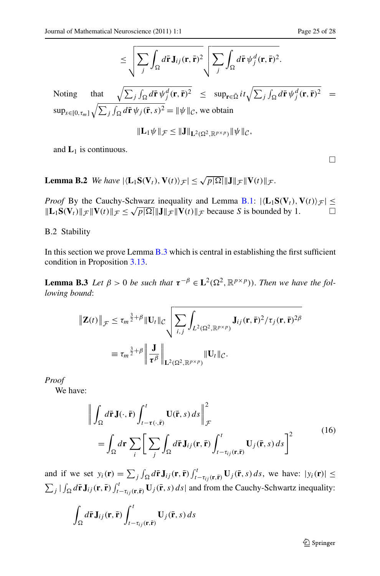$$
\leq \sqrt{\sum_j \int_{\Omega} d\mathbf{\bar{r}} \mathbf{J}_{ij}(\mathbf{r}, \mathbf{\bar{r}})^2} \sqrt{\sum_j \int_{\Omega} d\mathbf{\bar{r}} \psi_j^d(\mathbf{r}, \mathbf{\bar{r}})^2}.
$$

<span id="page-24-0"></span>Noting that  $\sqrt{\sum_j \int_{\Omega} d\vec{r} \psi_j^d(\vec{r}, \vec{r})^2} \leq \sup_{\vec{r} \in \bar{\Omega}} i t \sqrt{\sum_j \int_{\Omega} d\vec{r} \psi_j^d(\vec{r}, \vec{r})^2} =$  $\sup_{s \in [0, \tau_m]} \sqrt{\sum_j \int_{\Omega} d\vec{r} \psi_j(\vec{r}, s)^2} = ||\psi||_{\mathcal{C}}$ , we obtain

$$
\|\mathbf{L}_1\psi\|_{\mathcal{F}} \leq \|\mathbf{J}\|_{\mathbf{L}^2(\Omega^2,\mathbb{R}^{p\times p})}\|\psi\|_{\mathcal{C}},
$$

and  $L_1$  is continuous.

<span id="page-24-2"></span>**Lemma B.2** *We have*  $|\langle L_1 S(V_t), V(t) \rangle_{\mathcal{F}}| \leq \sqrt{p|\Omega|} ||J||_{\mathcal{F}} ||V(t)||_{\mathcal{F}}.$ 

<span id="page-24-1"></span>*Proof* By the Cauchy-Schwarz inequality and Lemma [B.1:](#page-23-2)  $|\langle L_1 S(V_t), V(t) \rangle_{\mathcal{F}}| \le$  $\|\mathbf{L}_1\mathbf{S}(\mathbf{V}_t)\|_{\mathcal{F}} \|\mathbf{V}(t)\|_{\mathcal{F}} \leq \sqrt{p|\Omega|} \|\mathbf{J}\|_{\mathcal{F}} \|\mathbf{V}(t)\|_{\mathcal{F}}$  because *S* is bounded by 1.

B.2 Stability

In this section we prove Lemma  $B.3$  which is central in establishing the first sufficient condition in Proposition [3.13](#page-13-0).

**Lemma B.3** *Let*  $\beta > 0$  *be such that*  $\tau^{-\beta} \in L^2(\Omega^2, \mathbb{R}^{p \times p})$ *). Then we have the following bound*:

$$
\|\mathbf{Z}(t)\|_{\mathcal{F}} \leq \tau_m^{\frac{3}{2}+\beta} \| \mathbf{U}_t \|_{\mathcal{C}} \sqrt{\sum_{i,j} \int_{L^2(\Omega^2, \mathbb{R}^{p \times p})} \mathbf{J}_{ij}(\mathbf{r}, \bar{\mathbf{r}})^2 / \tau_j(\mathbf{r}, \bar{\mathbf{r}})^{2\beta}}
$$
  

$$
\equiv \tau_m^{\frac{3}{2}+\beta} \left\| \frac{\mathbf{J}}{\tau^{\beta}} \right\|_{\mathbf{L}^2(\Omega^2, \mathbb{R}^{p \times p})} \| \mathbf{U}_t \|_{\mathcal{C}}.
$$

*Proof*

We have:

$$
\left\| \int_{\Omega} d\mathbf{\bar{r}} \mathbf{J}(\cdot, \mathbf{\bar{r}}) \int_{t-\tau(\cdot, \mathbf{\bar{r}})}^{t} \mathbf{U}(\mathbf{\bar{r}}, s) ds \right\|_{\mathcal{F}}^{2}
$$
\n
$$
= \int_{\Omega} d\mathbf{r} \sum_{i} \left[ \sum_{j} \int_{\Omega} d\mathbf{\bar{r}} \mathbf{J}_{ij}(\mathbf{r}, \mathbf{\bar{r}}) \int_{t-\tau_{ij}(\mathbf{r}, \mathbf{\bar{r}})}^{t} \mathbf{U}_{j}(\mathbf{\bar{r}}, s) ds \right]^{2} \tag{16}
$$

and if we set  $y_i(\mathbf{r}) = \sum_j \int_{\Omega} d\mathbf{\bar{r}} \mathbf{J}_{ij}(\mathbf{r}, \mathbf{\bar{r}}) \int_{t-\tau_{ij}(\mathbf{r}, \mathbf{\bar{r}})}^t \mathbf{U}_j(\mathbf{\bar{r}}, s) ds$ , we have:  $|y_i(\mathbf{r})| \le$  $\sum_j \int_{\Omega} d\mathbf{\bar{r}} \mathbf{J}_{ij}(\mathbf{r}, \mathbf{\bar{r}}) \int_{t-\tau_{ij}(\mathbf{r}, \mathbf{\bar{r}})}^t \mathbf{U}_j(\mathbf{\bar{r}}, s) ds$  and from the Cauchy-Schwartz inequality:

$$
\int_{\Omega} d\mathbf{\bar{r}} \mathbf{J}_{ij}(\mathbf{r}, \mathbf{\bar{r}}) \int_{t-\tau_{ij}(\mathbf{r}, \mathbf{\bar{r}})}^{t} \mathbf{U}_{j}(\mathbf{\bar{r}}, s) ds
$$

 $\Box$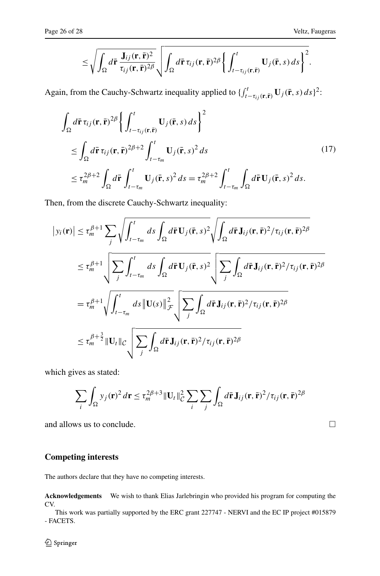$$
\leq \sqrt{\int_{\Omega} d\bar{\mathbf{r}} \frac{\mathbf{J}_{ij}(\mathbf{r},\bar{\mathbf{r}})^2}{\tau_{ij}(\mathbf{r},\bar{\mathbf{r}})^{2\beta}}}\sqrt{\int_{\Omega} d\bar{\mathbf{r}} \tau_{ij}(\mathbf{r},\bar{\mathbf{r}})^{2\beta}\left\{\int_{t-\tau_{ij}(\mathbf{r},\bar{\mathbf{r}})}^{t} U_j(\bar{\mathbf{r}},s) ds\right\}^2}.
$$

Again, from the Cauchy-Schwartz inequality applied to  $\int_{t-\tau_{ij}(\mathbf{r},\bar{\mathbf{r}})}^{t} \mathbf{U}_j(\bar{\mathbf{r}},s) ds$ <sup>2</sup>:

$$
\int_{\Omega} d\mathbf{\bar{r}} \tau_{ij}(\mathbf{r}, \mathbf{\bar{r}})^{2\beta} \left\{ \int_{t-\tau_{ij}(\mathbf{r}, \mathbf{\bar{r}})}^{t} \mathbf{U}_{j}(\mathbf{\bar{r}}, s) ds \right\}^{2} \n\leq \int_{\Omega} d\mathbf{\bar{r}} \tau_{ij}(\mathbf{r}, \mathbf{\bar{r}})^{2\beta+2} \int_{t-\tau_{m}}^{t} \mathbf{U}_{j}(\mathbf{\bar{r}}, s)^{2} ds \n\leq \tau_{m}^{2\beta+2} \int_{\Omega} d\mathbf{\bar{r}} \int_{t-\tau_{m}}^{t} \mathbf{U}_{j}(\mathbf{\bar{r}}, s)^{2} ds = \tau_{m}^{2\beta+2} \int_{t-\tau_{m}}^{t} \int_{\Omega} d\mathbf{\bar{r}} \mathbf{U}_{j}(\mathbf{\bar{r}}, s)^{2} ds.
$$
\n(17)

Then, from the discrete Cauchy-Schwartz inequality:

$$
\begin{split}\n\left| y_i(\mathbf{r}) \right| &\leq \tau_m^{\beta+1} \sum_j \sqrt{\int_{t-\tau_m}^t ds \int_{\Omega} d\mathbf{\bar{r}} \mathbf{U}_j(\mathbf{\bar{r}}, s)^2} \sqrt{\int_{\Omega} d\mathbf{\bar{r}} \mathbf{J}_{ij}(\mathbf{r}, \mathbf{\bar{r}})^2 / \tau_{ij}(\mathbf{r}, \mathbf{\bar{r}})^2 \beta} \\
&\leq \tau_m^{\beta+1} \sqrt{\sum_j \int_{t-\tau_m}^t ds \int_{\Omega} d\mathbf{\bar{r}} \mathbf{U}_j(\mathbf{\bar{r}}, s)^2} \sqrt{\sum_j \int_{\Omega} d\mathbf{\bar{r}} \mathbf{J}_{ij}(\mathbf{r}, \mathbf{\bar{r}})^2 / \tau_{ij}(\mathbf{r}, \mathbf{\bar{r}})^2 \beta} \\
&=\tau_m^{\beta+1} \sqrt{\int_{t-\tau_m}^t ds \|\mathbf{U}(s)\|_{\mathcal{F}}^2} \sqrt{\sum_j \int_{\Omega} d\mathbf{\bar{r}} \mathbf{J}_{ij}(\mathbf{r}, \mathbf{\bar{r}})^2 / \tau_{ij}(\mathbf{r}, \mathbf{\bar{r}})^2 \beta} \\
&\leq \tau_m^{\beta+\frac{3}{2}} \|\mathbf{U}_t\|_{\mathcal{C}} \sqrt{\sum_j \int_{\Omega} d\mathbf{\bar{r}} \mathbf{J}_{ij}(\mathbf{r}, \mathbf{\bar{r}})^2 / \tau_{ij}(\mathbf{r}, \mathbf{\bar{r}})^2 \beta}\n\end{split}
$$

which gives as stated:

$$
\sum_{i} \int_{\Omega} y_j(\mathbf{r})^2 d\mathbf{r} \le \tau_m^{2\beta+3} \|\mathbf{U}_t\|_{\mathcal{C}}^2 \sum_{i} \sum_{j} \int_{\Omega} d\mathbf{\bar{r}} \mathbf{J}_{ij}(\mathbf{r}, \mathbf{\bar{r}})^2 / \tau_{ij}(\mathbf{r}, \mathbf{\bar{r}})^{2\beta}
$$

and allows us to conclude.

# **Competing interests**

The authors declare that they have no competing interests.

**Acknowledgements** We wish to thank Elias Jarlebringin who provided his program for computing the CV.

This work was partially supported by the ERC grant 227747 - NERVI and the EC IP project #015879 - FACETS.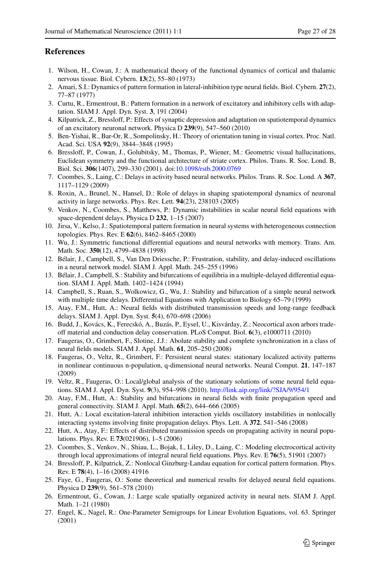# <span id="page-26-4"></span><span id="page-26-3"></span><span id="page-26-2"></span><span id="page-26-1"></span><span id="page-26-0"></span>**References**

- <span id="page-26-5"></span>1. Wilson, H., Cowan, J.: A mathematical theory of the functional dynamics of cortical and thalamic nervous tissue. Biol. Cybern. **13**(2), 55–80 (1973)
- 2. Amari, S.I.: Dynamics of pattern formation in lateral-inhibition type neural fields. Biol. Cybern. **27**(2), 77–87 (1977)
- <span id="page-26-6"></span>3. Curtu, R., Ermentrout, B.: Pattern formation in a network of excitatory and inhibitory cells with adaptation. SIAM J. Appl. Dyn. Syst. **3**, 191 (2004)
- <span id="page-26-7"></span>4. Kilpatrick, Z., Bressloff, P.: Effects of synaptic depression and adaptation on spatiotemporal dynamics of an excitatory neuronal network. Physica D **239**(9), 547–560 (2010)
- <span id="page-26-8"></span>5. Ben-Yishai, R., Bar-Or, R., Sompolinsky, H.: Theory of orientation tuning in visual cortex. Proc. Natl. Acad. Sci. USA **92**(9), 3844–3848 (1995)
- <span id="page-26-10"></span><span id="page-26-9"></span>6. Bressloff, P., Cowan, J., Golubitsky, M., Thomas, P., Wiener, M.: Geometric visual hallucinations, Euclidean symmetry and the functional architecture of striate cortex. Philos. Trans. R. Soc. Lond. B, Biol. Sci. **306**(1407), 299–330 (2001). doi[:10.1098/rstb.2000.0769](http://dx.doi.org/10.1098/rstb.2000.0769)
- <span id="page-26-11"></span>7. Coombes, S., Laing, C.: Delays in activity based neural networks. Philos. Trans. R. Soc. Lond. A **367**, 1117–1129 (2009)
- <span id="page-26-12"></span>8. Roxin, A., Brunel, N., Hansel, D.: Role of delays in shaping spatiotemporal dynamics of neuronal activity in large networks. Phys. Rev. Lett. **94**(23), 238103 (2005)
- 9. Venkov, N., Coombes, S., Matthews, P.: Dynamic instabilities in scalar neural field equations with space-dependent delays. Physica D **232**, 1–15 (2007)
- <span id="page-26-14"></span><span id="page-26-13"></span>10. Jirsa, V., Kelso, J.: Spatiotemporal pattern formation in neural systems with heterogeneous connection topologies. Phys. Rev. E **62**(6), 8462–8465 (2000)
- <span id="page-26-15"></span>11. Wu, J.: Symmetric functional differential equations and neural networks with memory. Trans. Am. Math. Soc. **350**(12), 4799–4838 (1998)
- <span id="page-26-16"></span>12. Bélair, J., Campbell, S., Van Den Driessche, P.: Frustration, stability, and delay-induced oscillations in a neural network model. SIAM J. Appl. Math. 245–255 (1996)
- <span id="page-26-24"></span>13. Bélair, J., Campbell, S.: Stability and bifurcations of equilibria in a multiple-delayed differential equation. SIAM J. Appl. Math. 1402–1424 (1994)
- 14. Campbell, S., Ruan, S., Wolkowicz, G., Wu, J.: Stability and bifurcation of a simple neural network with multiple time delays. Differential Equations with Application to Biology 65–79 (1999)
- <span id="page-26-17"></span>15. Atay, F.M., Hutt, A.: Neural fields with distributed transmission speeds and long-range feedback delays. SIAM J. Appl. Dyn. Syst. **5**(4), 670–698 (2006)
- <span id="page-26-18"></span>16. Budd, J., Kovács, K., Ferecskó, A., Buzás, P., Eysel, U., Kisvárday, Z.: Neocortical axon arbors tradeoff material and conduction delay conservation. PLoS Comput. Biol. **6**(3), e1000711 (2010)
- 17. Faugeras, O., Grimbert, F., Slotine, J.J.: Abolute stability and complete synchronization in a class of neural fields models. SIAM J. Appl. Math. **61**, 205–250 (2008)
- <span id="page-26-22"></span>18. Faugeras, O., Veltz, R., Grimbert, F.: Persistent neural states: stationary localized activity patterns in nonlinear continuous n-population, q-dimensional neural networks. Neural Comput. **21**, 147–187 (2009)
- <span id="page-26-19"></span>19. Veltz, R., Faugeras, O.: Local/global analysis of the stationary solutions of some neural field equations. SIAM J. Appl. Dyn. Syst. **9**(3), 954–998 (2010). <http://link.aip.org/link/?SJA/9/954/1>
- <span id="page-26-20"></span>20. Atay, F.M., Hutt, A.: Stability and bifurcations in neural fields with finite propagation speed and general connectivity. SIAM J. Appl. Math. **65**(2), 644–666 (2005)
- <span id="page-26-21"></span>21. Hutt, A.: Local excitation-lateral inhibition interaction yields oscillatory instabilities in nonlocally interacting systems involving finite propagation delays. Phys. Lett. A **372**, 541–546 (2008)
- <span id="page-26-23"></span>22. Hutt, A., Atay, F.: Effects of distributed transmission speeds on propagating activity in neural populations. Phys. Rev. E **73**(021906), 1–5 (2006)
- 23. Coombes, S., Venkov, N., Shiau, L., Bojak, I., Liley, D., Laing, C.: Modeling electrocortical activity through local approximations of integral neural field equations. Phys. Rev. E **76**(5), 51901 (2007)
- 24. Bressloff, P., Kilpatrick, Z.: Nonlocal Ginzburg-Landau equation for cortical pattern formation. Phys. Rev. E **78**(4), 1–16 (2008) 41916
- 25. Faye, G., Faugeras, O.: Some theoretical and numerical results for delayed neural field equations. Physica D **239**(9), 561–578 (2010)
- 26. Ermentrout, G., Cowan, J.: Large scale spatially organized activity in neural nets. SIAM J. Appl. Math. 1–21 (1980)
- 27. Engel, K., Nagel, R.: One-Parameter Semigroups for Linear Evolution Equations, vol. 63. Springer (2001)